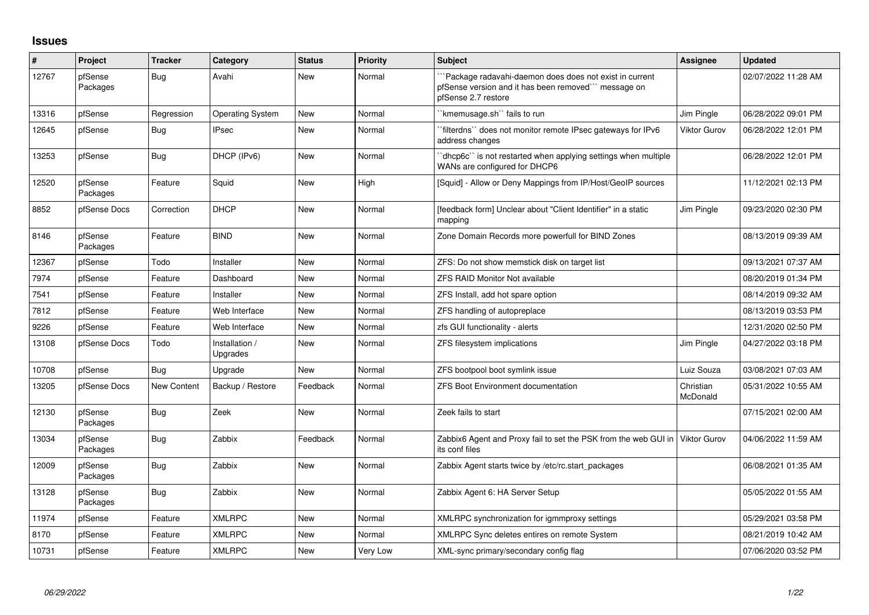## **Issues**

| #     | Project             | <b>Tracker</b>     | Category                   | <b>Status</b> | <b>Priority</b> | <b>Subject</b>                                                                                                                       | <b>Assignee</b>       | <b>Updated</b>      |
|-------|---------------------|--------------------|----------------------------|---------------|-----------------|--------------------------------------------------------------------------------------------------------------------------------------|-----------------------|---------------------|
| 12767 | pfSense<br>Packages | Bug                | Avahi                      | New           | Normal          | Package radavahi-daemon does does not exist in current<br>pfSense version and it has been removed" message on<br>pfSense 2.7 restore |                       | 02/07/2022 11:28 AM |
| 13316 | pfSense             | Regression         | <b>Operating System</b>    | New           | Normal          | `kmemusage.sh`` fails to run                                                                                                         | Jim Pingle            | 06/28/2022 09:01 PM |
| 12645 | pfSense             | Bug                | <b>IPsec</b>               | <b>New</b>    | Normal          | `filterdns`` does not monitor remote IPsec gateways for IPv6<br>address changes                                                      | Viktor Gurov          | 06/28/2022 12:01 PM |
| 13253 | pfSense             | Bug                | DHCP (IPv6)                | <b>New</b>    | Normal          | 'dhcp6c'' is not restarted when applying settings when multiple<br>WANs are configured for DHCP6                                     |                       | 06/28/2022 12:01 PM |
| 12520 | pfSense<br>Packages | Feature            | Squid                      | <b>New</b>    | High            | [Squid] - Allow or Deny Mappings from IP/Host/GeoIP sources                                                                          |                       | 11/12/2021 02:13 PM |
| 8852  | pfSense Docs        | Correction         | <b>DHCP</b>                | <b>New</b>    | Normal          | [feedback form] Unclear about "Client Identifier" in a static<br>mapping                                                             | Jim Pingle            | 09/23/2020 02:30 PM |
| 8146  | pfSense<br>Packages | Feature            | <b>BIND</b>                | <b>New</b>    | Normal          | Zone Domain Records more powerfull for BIND Zones                                                                                    |                       | 08/13/2019 09:39 AM |
| 12367 | pfSense             | Todo               | Installer                  | <b>New</b>    | Normal          | ZFS: Do not show memstick disk on target list                                                                                        |                       | 09/13/2021 07:37 AM |
| 7974  | pfSense             | Feature            | Dashboard                  | <b>New</b>    | Normal          | <b>ZFS RAID Monitor Not available</b>                                                                                                |                       | 08/20/2019 01:34 PM |
| 7541  | pfSense             | Feature            | Installer                  | <b>New</b>    | Normal          | ZFS Install, add hot spare option                                                                                                    |                       | 08/14/2019 09:32 AM |
| 7812  | pfSense             | Feature            | Web Interface              | <b>New</b>    | Normal          | ZFS handling of autopreplace                                                                                                         |                       | 08/13/2019 03:53 PM |
| 9226  | pfSense             | Feature            | Web Interface              | New           | Normal          | zfs GUI functionality - alerts                                                                                                       |                       | 12/31/2020 02:50 PM |
| 13108 | pfSense Docs        | Todo               | Installation /<br>Upgrades | <b>New</b>    | Normal          | ZFS filesystem implications                                                                                                          | Jim Pingle            | 04/27/2022 03:18 PM |
| 10708 | pfSense             | Bug                | Upgrade                    | <b>New</b>    | Normal          | ZFS bootpool boot symlink issue                                                                                                      | Luiz Souza            | 03/08/2021 07:03 AM |
| 13205 | pfSense Docs        | <b>New Content</b> | Backup / Restore           | Feedback      | Normal          | <b>ZFS Boot Environment documentation</b>                                                                                            | Christian<br>McDonald | 05/31/2022 10:55 AM |
| 12130 | pfSense<br>Packages | <b>Bug</b>         | Zeek                       | <b>New</b>    | Normal          | Zeek fails to start                                                                                                                  |                       | 07/15/2021 02:00 AM |
| 13034 | pfSense<br>Packages | <b>Bug</b>         | Zabbix                     | Feedback      | Normal          | Zabbix6 Agent and Proxy fail to set the PSK from the web GUI in<br>its conf files                                                    | <b>Viktor Gurov</b>   | 04/06/2022 11:59 AM |
| 12009 | pfSense<br>Packages | <b>Bug</b>         | Zabbix                     | <b>New</b>    | Normal          | Zabbix Agent starts twice by /etc/rc.start packages                                                                                  |                       | 06/08/2021 01:35 AM |
| 13128 | pfSense<br>Packages | Bug                | Zabbix                     | <b>New</b>    | Normal          | Zabbix Agent 6: HA Server Setup                                                                                                      |                       | 05/05/2022 01:55 AM |
| 11974 | pfSense             | Feature            | <b>XMLRPC</b>              | <b>New</b>    | Normal          | XMLRPC synchronization for igmmproxy settings                                                                                        |                       | 05/29/2021 03:58 PM |
| 8170  | pfSense             | Feature            | <b>XMLRPC</b>              | <b>New</b>    | Normal          | XMLRPC Sync deletes entires on remote System                                                                                         |                       | 08/21/2019 10:42 AM |
| 10731 | pfSense             | Feature            | <b>XMLRPC</b>              | <b>New</b>    | Very Low        | XML-sync primary/secondary config flag                                                                                               |                       | 07/06/2020 03:52 PM |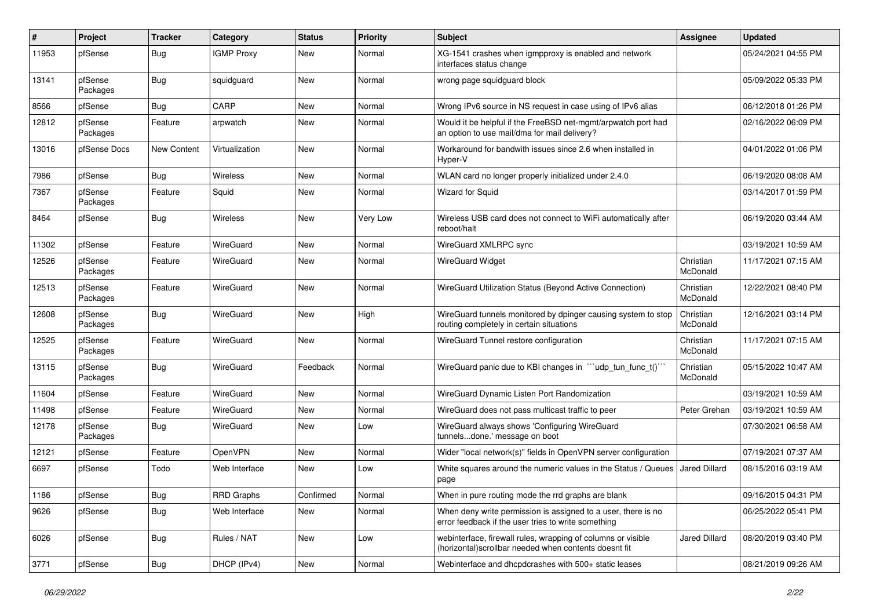| #     | Project             | <b>Tracker</b> | Category          | <b>Status</b> | <b>Priority</b> | Subject                                                                                                                | Assignee              | <b>Updated</b>      |
|-------|---------------------|----------------|-------------------|---------------|-----------------|------------------------------------------------------------------------------------------------------------------------|-----------------------|---------------------|
| 11953 | pfSense             | <b>Bug</b>     | <b>IGMP Proxy</b> | New           | Normal          | XG-1541 crashes when igmpproxy is enabled and network<br>interfaces status change                                      |                       | 05/24/2021 04:55 PM |
| 13141 | pfSense<br>Packages | <b>Bug</b>     | squidguard        | New           | Normal          | wrong page squidguard block                                                                                            |                       | 05/09/2022 05:33 PM |
| 8566  | pfSense             | <b>Bug</b>     | CARP              | New           | Normal          | Wrong IPv6 source in NS request in case using of IPv6 alias                                                            |                       | 06/12/2018 01:26 PM |
| 12812 | pfSense<br>Packages | Feature        | arpwatch          | New           | Normal          | Would it be helpful if the FreeBSD net-mgmt/arpwatch port had<br>an option to use mail/dma for mail delivery?          |                       | 02/16/2022 06:09 PM |
| 13016 | pfSense Docs        | New Content    | Virtualization    | New           | Normal          | Workaround for bandwith issues since 2.6 when installed in<br>Hyper-V                                                  |                       | 04/01/2022 01:06 PM |
| 7986  | pfSense             | <b>Bug</b>     | Wireless          | <b>New</b>    | Normal          | WLAN card no longer properly initialized under 2.4.0                                                                   |                       | 06/19/2020 08:08 AM |
| 7367  | pfSense<br>Packages | Feature        | Squid             | New           | Normal          | Wizard for Squid                                                                                                       |                       | 03/14/2017 01:59 PM |
| 8464  | pfSense             | Bug            | Wireless          | <b>New</b>    | Very Low        | Wireless USB card does not connect to WiFi automatically after<br>reboot/halt                                          |                       | 06/19/2020 03:44 AM |
| 11302 | pfSense             | Feature        | WireGuard         | New           | Normal          | WireGuard XMLRPC sync                                                                                                  |                       | 03/19/2021 10:59 AM |
| 12526 | pfSense<br>Packages | Feature        | WireGuard         | <b>New</b>    | Normal          | <b>WireGuard Widget</b>                                                                                                | Christian<br>McDonald | 11/17/2021 07:15 AM |
| 12513 | pfSense<br>Packages | Feature        | WireGuard         | New           | Normal          | WireGuard Utilization Status (Beyond Active Connection)                                                                | Christian<br>McDonald | 12/22/2021 08:40 PM |
| 12608 | pfSense<br>Packages | <b>Bug</b>     | WireGuard         | <b>New</b>    | High            | WireGuard tunnels monitored by dpinger causing system to stop<br>routing completely in certain situations              | Christian<br>McDonald | 12/16/2021 03:14 PM |
| 12525 | pfSense<br>Packages | Feature        | WireGuard         | <b>New</b>    | Normal          | WireGuard Tunnel restore configuration                                                                                 | Christian<br>McDonald | 11/17/2021 07:15 AM |
| 13115 | pfSense<br>Packages | <b>Bug</b>     | WireGuard         | Feedback      | Normal          | WireGuard panic due to KBI changes in ""udp_tun_func_t()""                                                             | Christian<br>McDonald | 05/15/2022 10:47 AM |
| 11604 | pfSense             | Feature        | WireGuard         | <b>New</b>    | Normal          | WireGuard Dynamic Listen Port Randomization                                                                            |                       | 03/19/2021 10:59 AM |
| 11498 | pfSense             | Feature        | WireGuard         | <b>New</b>    | Normal          | WireGuard does not pass multicast traffic to peer                                                                      | Peter Grehan          | 03/19/2021 10:59 AM |
| 12178 | pfSense<br>Packages | <b>Bug</b>     | WireGuard         | New           | Low             | WireGuard always shows 'Configuring WireGuard<br>tunnelsdone.' message on boot                                         |                       | 07/30/2021 06:58 AM |
| 12121 | pfSense             | Feature        | OpenVPN           | <b>New</b>    | Normal          | Wider "local network(s)" fields in OpenVPN server configuration                                                        |                       | 07/19/2021 07:37 AM |
| 6697  | pfSense             | Todo           | Web Interface     | New           | Low             | White squares around the numeric values in the Status / Queues<br>page                                                 | <b>Jared Dillard</b>  | 08/15/2016 03:19 AM |
| 1186  | pfSense             | <b>Bug</b>     | <b>RRD Graphs</b> | Confirmed     | Normal          | When in pure routing mode the rrd graphs are blank                                                                     |                       | 09/16/2015 04:31 PM |
| 9626  | pfSense             | Bug            | Web Interface     | New           | Normal          | When deny write permission is assigned to a user, there is no<br>error feedback if the user tries to write something   |                       | 06/25/2022 05:41 PM |
| 6026  | pfSense             | Bug            | Rules / NAT       | New           | Low             | webinterface, firewall rules, wrapping of columns or visible<br>(horizontal) scrollbar needed when contents doesnt fit | Jared Dillard         | 08/20/2019 03:40 PM |
| 3771  | pfSense             | Bug            | DHCP (IPv4)       | New           | Normal          | Webinterface and dhcpdcrashes with 500+ static leases                                                                  |                       | 08/21/2019 09:26 AM |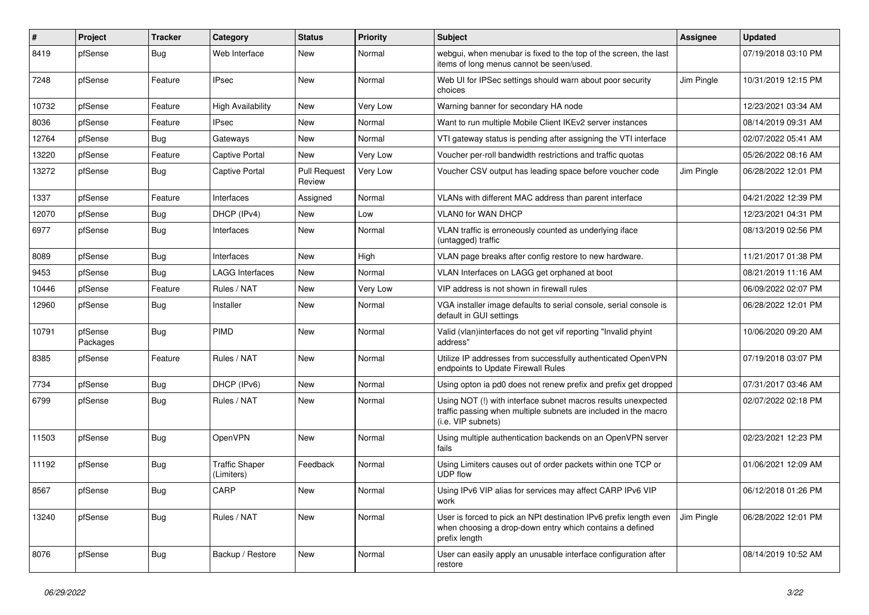| #     | Project             | <b>Tracker</b> | Category                            | <b>Status</b>                 | Priority | Subject                                                                                                                                                | <b>Assignee</b> | <b>Updated</b>      |
|-------|---------------------|----------------|-------------------------------------|-------------------------------|----------|--------------------------------------------------------------------------------------------------------------------------------------------------------|-----------------|---------------------|
| 8419  | pfSense             | Bug            | Web Interface                       | New                           | Normal   | webgui, when menubar is fixed to the top of the screen, the last<br>items of long menus cannot be seen/used.                                           |                 | 07/19/2018 03:10 PM |
| 7248  | pfSense             | Feature        | <b>IPsec</b>                        | <b>New</b>                    | Normal   | Web UI for IPSec settings should warn about poor security<br>choices                                                                                   | Jim Pingle      | 10/31/2019 12:15 PM |
| 10732 | pfSense             | Feature        | <b>High Availability</b>            | New                           | Very Low | Warning banner for secondary HA node                                                                                                                   |                 | 12/23/2021 03:34 AM |
| 8036  | pfSense             | Feature        | IPsec                               | New                           | Normal   | Want to run multiple Mobile Client IKEv2 server instances                                                                                              |                 | 08/14/2019 09:31 AM |
| 12764 | pfSense             | Bug            | Gateways                            | New                           | Normal   | VTI gateway status is pending after assigning the VTI interface                                                                                        |                 | 02/07/2022 05:41 AM |
| 13220 | pfSense             | Feature        | <b>Captive Portal</b>               | <b>New</b>                    | Very Low | Voucher per-roll bandwidth restrictions and traffic quotas                                                                                             |                 | 05/26/2022 08:16 AM |
| 13272 | pfSense             | Bug            | Captive Portal                      | <b>Pull Request</b><br>Review | Very Low | Voucher CSV output has leading space before voucher code                                                                                               | Jim Pingle      | 06/28/2022 12:01 PM |
| 1337  | pfSense             | Feature        | Interfaces                          | Assigned                      | Normal   | VLANs with different MAC address than parent interface                                                                                                 |                 | 04/21/2022 12:39 PM |
| 12070 | pfSense             | <b>Bug</b>     | DHCP (IPv4)                         | <b>New</b>                    | Low      | VLAN0 for WAN DHCP                                                                                                                                     |                 | 12/23/2021 04:31 PM |
| 6977  | pfSense             | Bug            | Interfaces                          | New                           | Normal   | VLAN traffic is erroneously counted as underlying iface<br>(untagged) traffic                                                                          |                 | 08/13/2019 02:56 PM |
| 8089  | pfSense             | Bug            | Interfaces                          | <b>New</b>                    | High     | VLAN page breaks after config restore to new hardware.                                                                                                 |                 | 11/21/2017 01:38 PM |
| 9453  | pfSense             | <b>Bug</b>     | <b>LAGG Interfaces</b>              | <b>New</b>                    | Normal   | VLAN Interfaces on LAGG get orphaned at boot                                                                                                           |                 | 08/21/2019 11:16 AM |
| 10446 | pfSense             | Feature        | Rules / NAT                         | New                           | Very Low | VIP address is not shown in firewall rules                                                                                                             |                 | 06/09/2022 02:07 PM |
| 12960 | pfSense             | Bug            | Installer                           | New                           | Normal   | VGA installer image defaults to serial console, serial console is<br>default in GUI settings                                                           |                 | 06/28/2022 12:01 PM |
| 10791 | pfSense<br>Packages | Bug            | PIMD                                | <b>New</b>                    | Normal   | Valid (vlan)interfaces do not get vif reporting "Invalid phyint<br>address"                                                                            |                 | 10/06/2020 09:20 AM |
| 8385  | pfSense             | Feature        | Rules / NAT                         | <b>New</b>                    | Normal   | Utilize IP addresses from successfully authenticated OpenVPN<br>endpoints to Update Firewall Rules                                                     |                 | 07/19/2018 03:07 PM |
| 7734  | pfSense             | Bug            | DHCP (IPv6)                         | <b>New</b>                    | Normal   | Using opton ia pd0 does not renew prefix and prefix get dropped                                                                                        |                 | 07/31/2017 03:46 AM |
| 6799  | pfSense             | Bug            | Rules / NAT                         | New                           | Normal   | Using NOT (!) with interface subnet macros results unexpected<br>traffic passing when multiple subnets are included in the macro<br>(i.e. VIP subnets) |                 | 02/07/2022 02:18 PM |
| 11503 | pfSense             | Bug            | OpenVPN                             | <b>New</b>                    | Normal   | Using multiple authentication backends on an OpenVPN server<br>fails                                                                                   |                 | 02/23/2021 12:23 PM |
| 11192 | pfSense             | Bug            | <b>Traffic Shaper</b><br>(Limiters) | Feedback                      | Normal   | Using Limiters causes out of order packets within one TCP or<br><b>UDP flow</b>                                                                        |                 | 01/06/2021 12:09 AM |
| 8567  | pfSense             | Bug            | CARP                                | New                           | Normal   | Using IPv6 VIP alias for services may affect CARP IPv6 VIP<br>work                                                                                     |                 | 06/12/2018 01:26 PM |
| 13240 | pfSense             | <b>Bug</b>     | Rules / NAT                         | New                           | Normal   | User is forced to pick an NPt destination IPv6 prefix length even<br>when choosing a drop-down entry which contains a defined<br>prefix length         | Jim Pingle      | 06/28/2022 12:01 PM |
| 8076  | pfSense             | <b>Bug</b>     | Backup / Restore                    | New                           | Normal   | User can easily apply an unusable interface configuration after<br>restore                                                                             |                 | 08/14/2019 10:52 AM |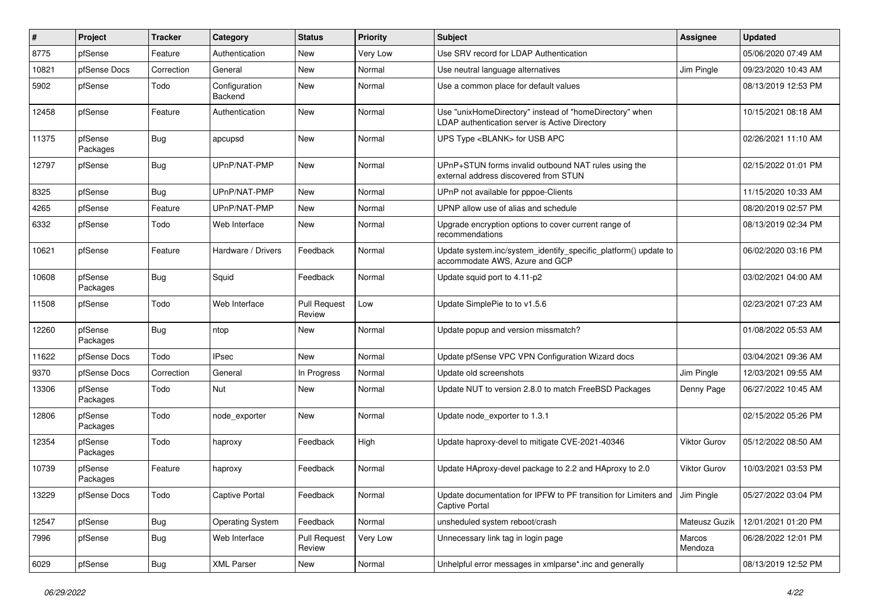| #     | Project             | Tracker    | Category                 | <b>Status</b>                 | <b>Priority</b> | <b>Subject</b>                                                                                            | Assignee            | <b>Updated</b>      |
|-------|---------------------|------------|--------------------------|-------------------------------|-----------------|-----------------------------------------------------------------------------------------------------------|---------------------|---------------------|
| 8775  | pfSense             | Feature    | Authentication           | New                           | Very Low        | Use SRV record for LDAP Authentication                                                                    |                     | 05/06/2020 07:49 AM |
| 10821 | pfSense Docs        | Correction | General                  | <b>New</b>                    | Normal          | Use neutral language alternatives                                                                         | Jim Pingle          | 09/23/2020 10:43 AM |
| 5902  | pfSense             | Todo       | Configuration<br>Backend | New                           | Normal          | Use a common place for default values                                                                     |                     | 08/13/2019 12:53 PM |
| 12458 | pfSense             | Feature    | Authentication           | New                           | Normal          | Use "unixHomeDirectory" instead of "homeDirectory" when<br>LDAP authentication server is Active Directory |                     | 10/15/2021 08:18 AM |
| 11375 | pfSense<br>Packages | Bug        | apcupsd                  | New                           | Normal          | UPS Type <blank> for USB APC</blank>                                                                      |                     | 02/26/2021 11:10 AM |
| 12797 | pfSense             | <b>Bug</b> | UPnP/NAT-PMP             | <b>New</b>                    | Normal          | UPnP+STUN forms invalid outbound NAT rules using the<br>external address discovered from STUN             |                     | 02/15/2022 01:01 PM |
| 8325  | pfSense             | Bug        | UPnP/NAT-PMP             | New                           | Normal          | UPnP not available for pppoe-Clients                                                                      |                     | 11/15/2020 10:33 AM |
| 4265  | pfSense             | Feature    | UPnP/NAT-PMP             | New                           | Normal          | UPNP allow use of alias and schedule                                                                      |                     | 08/20/2019 02:57 PM |
| 6332  | pfSense             | Todo       | Web Interface            | <b>New</b>                    | Normal          | Upgrade encryption options to cover current range of<br>recommendations                                   |                     | 08/13/2019 02:34 PM |
| 10621 | pfSense             | Feature    | Hardware / Drivers       | Feedback                      | Normal          | Update system.inc/system_identify_specific_platform() update to<br>accommodate AWS, Azure and GCP         |                     | 06/02/2020 03:16 PM |
| 10608 | pfSense<br>Packages | <b>Bug</b> | Squid                    | Feedback                      | Normal          | Update squid port to 4.11-p2                                                                              |                     | 03/02/2021 04:00 AM |
| 11508 | pfSense             | Todo       | Web Interface            | <b>Pull Request</b><br>Review | Low             | Update SimplePie to to v1.5.6                                                                             |                     | 02/23/2021 07:23 AM |
| 12260 | pfSense<br>Packages | <b>Bug</b> | ntop                     | New                           | Normal          | Update popup and version missmatch?                                                                       |                     | 01/08/2022 05:53 AM |
| 11622 | pfSense Docs        | Todo       | <b>IPsec</b>             | <b>New</b>                    | Normal          | Update pfSense VPC VPN Configuration Wizard docs                                                          |                     | 03/04/2021 09:36 AM |
| 9370  | pfSense Docs        | Correction | General                  | In Progress                   | Normal          | Update old screenshots                                                                                    | Jim Pingle          | 12/03/2021 09:55 AM |
| 13306 | pfSense<br>Packages | Todo       | Nut                      | New                           | Normal          | Update NUT to version 2.8.0 to match FreeBSD Packages                                                     | Denny Page          | 06/27/2022 10:45 AM |
| 12806 | pfSense<br>Packages | Todo       | node exporter            | <b>New</b>                    | Normal          | Update node exporter to 1.3.1                                                                             |                     | 02/15/2022 05:26 PM |
| 12354 | pfSense<br>Packages | Todo       | haproxy                  | Feedback                      | High            | Update haproxy-devel to mitigate CVE-2021-40346                                                           | <b>Viktor Gurov</b> | 05/12/2022 08:50 AM |
| 10739 | pfSense<br>Packages | Feature    | haproxy                  | Feedback                      | Normal          | Update HAproxy-devel package to 2.2 and HAproxy to 2.0                                                    | <b>Viktor Gurov</b> | 10/03/2021 03:53 PM |
| 13229 | pfSense Docs        | Todo       | Captive Portal           | Feedback                      | Normal          | Update documentation for IPFW to PF transition for Limiters and Jim Pingle<br>Captive Portal              |                     | 05/27/2022 03:04 PM |
| 12547 | pfSense             | <b>Bug</b> | Operating System         | Feedback                      | Normal          | unsheduled system reboot/crash                                                                            | Mateusz Guzik       | 12/01/2021 01:20 PM |
| 7996  | pfSense             | <b>Bug</b> | Web Interface            | <b>Pull Request</b><br>Review | Very Low        | Unnecessary link tag in login page                                                                        | Marcos<br>Mendoza   | 06/28/2022 12:01 PM |
| 6029  | pfSense             | Bug        | <b>XML Parser</b>        | New                           | Normal          | Unhelpful error messages in xmlparse*.inc and generally                                                   |                     | 08/13/2019 12:52 PM |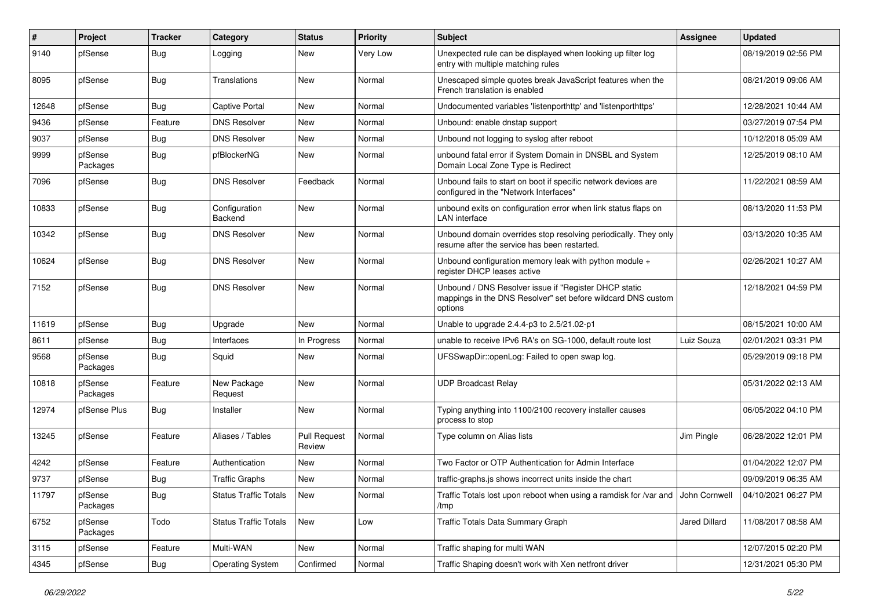| #     | Project             | <b>Tracker</b> | Category                     | <b>Status</b>                 | <b>Priority</b> | Subject                                                                                                                          | Assignee      | <b>Updated</b>      |
|-------|---------------------|----------------|------------------------------|-------------------------------|-----------------|----------------------------------------------------------------------------------------------------------------------------------|---------------|---------------------|
| 9140  | pfSense             | <b>Bug</b>     | Logging                      | New                           | Very Low        | Unexpected rule can be displayed when looking up filter log<br>entry with multiple matching rules                                |               | 08/19/2019 02:56 PM |
| 8095  | pfSense             | <b>Bug</b>     | Translations                 | New                           | Normal          | Unescaped simple quotes break JavaScript features when the<br>French translation is enabled                                      |               | 08/21/2019 09:06 AM |
| 12648 | pfSense             | <b>Bug</b>     | <b>Captive Portal</b>        | <b>New</b>                    | Normal          | Undocumented variables 'listenporthttp' and 'listenporthttps'                                                                    |               | 12/28/2021 10:44 AM |
| 9436  | pfSense             | Feature        | <b>DNS Resolver</b>          | New                           | Normal          | Unbound: enable dnstap support                                                                                                   |               | 03/27/2019 07:54 PM |
| 9037  | pfSense             | <b>Bug</b>     | <b>DNS Resolver</b>          | <b>New</b>                    | Normal          | Unbound not logging to syslog after reboot                                                                                       |               | 10/12/2018 05:09 AM |
| 9999  | pfSense<br>Packages | <b>Bug</b>     | pfBlockerNG                  | New                           | Normal          | unbound fatal error if System Domain in DNSBL and System<br>Domain Local Zone Type is Redirect                                   |               | 12/25/2019 08:10 AM |
| 7096  | pfSense             | <b>Bug</b>     | <b>DNS Resolver</b>          | Feedback                      | Normal          | Unbound fails to start on boot if specific network devices are<br>configured in the "Network Interfaces"                         |               | 11/22/2021 08:59 AM |
| 10833 | pfSense             | <b>Bug</b>     | Configuration<br>Backend     | <b>New</b>                    | Normal          | unbound exits on configuration error when link status flaps on<br>LAN interface                                                  |               | 08/13/2020 11:53 PM |
| 10342 | pfSense             | <b>Bug</b>     | <b>DNS Resolver</b>          | <b>New</b>                    | Normal          | Unbound domain overrides stop resolving periodically. They only<br>resume after the service has been restarted.                  |               | 03/13/2020 10:35 AM |
| 10624 | pfSense             | <b>Bug</b>     | <b>DNS Resolver</b>          | <b>New</b>                    | Normal          | Unbound configuration memory leak with python module +<br>register DHCP leases active                                            |               | 02/26/2021 10:27 AM |
| 7152  | pfSense             | Bug            | <b>DNS Resolver</b>          | New                           | Normal          | Unbound / DNS Resolver issue if "Register DHCP static<br>mappings in the DNS Resolver" set before wildcard DNS custom<br>options |               | 12/18/2021 04:59 PM |
| 11619 | pfSense             | <b>Bug</b>     | Upgrade                      | <b>New</b>                    | Normal          | Unable to upgrade 2.4.4-p3 to 2.5/21.02-p1                                                                                       |               | 08/15/2021 10:00 AM |
| 8611  | pfSense             | Bug            | Interfaces                   | In Progress                   | Normal          | unable to receive IPv6 RA's on SG-1000, default route lost                                                                       | Luiz Souza    | 02/01/2021 03:31 PM |
| 9568  | pfSense<br>Packages | <b>Bug</b>     | Squid                        | New                           | Normal          | UFSSwapDir::openLog: Failed to open swap log.                                                                                    |               | 05/29/2019 09:18 PM |
| 10818 | pfSense<br>Packages | Feature        | New Package<br>Request       | New                           | Normal          | <b>UDP Broadcast Relay</b>                                                                                                       |               | 05/31/2022 02:13 AM |
| 12974 | pfSense Plus        | <b>Bug</b>     | Installer                    | <b>New</b>                    | Normal          | Typing anything into 1100/2100 recovery installer causes<br>process to stop                                                      |               | 06/05/2022 04:10 PM |
| 13245 | pfSense             | Feature        | Aliases / Tables             | <b>Pull Request</b><br>Review | Normal          | Type column on Alias lists                                                                                                       | Jim Pingle    | 06/28/2022 12:01 PM |
| 4242  | pfSense             | Feature        | Authentication               | <b>New</b>                    | Normal          | Two Factor or OTP Authentication for Admin Interface                                                                             |               | 01/04/2022 12:07 PM |
| 9737  | pfSense             | Bug            | <b>Traffic Graphs</b>        | New                           | Normal          | traffic-graphs.js shows incorrect units inside the chart                                                                         |               | 09/09/2019 06:35 AM |
| 11797 | pfSense<br>Packages | Bug            | <b>Status Traffic Totals</b> | New                           | Normal          | Traffic Totals lost upon reboot when using a ramdisk for /var and John Cornwell<br>/tmp                                          |               | 04/10/2021 06:27 PM |
| 6752  | pfSense<br>Packages | Todo           | <b>Status Traffic Totals</b> | New                           | Low             | Traffic Totals Data Summary Graph                                                                                                | Jared Dillard | 11/08/2017 08:58 AM |
| 3115  | pfSense             | Feature        | Multi-WAN                    | New                           | Normal          | Traffic shaping for multi WAN                                                                                                    |               | 12/07/2015 02:20 PM |
| 4345  | pfSense             | Bug            | <b>Operating System</b>      | Confirmed                     | Normal          | Traffic Shaping doesn't work with Xen netfront driver                                                                            |               | 12/31/2021 05:30 PM |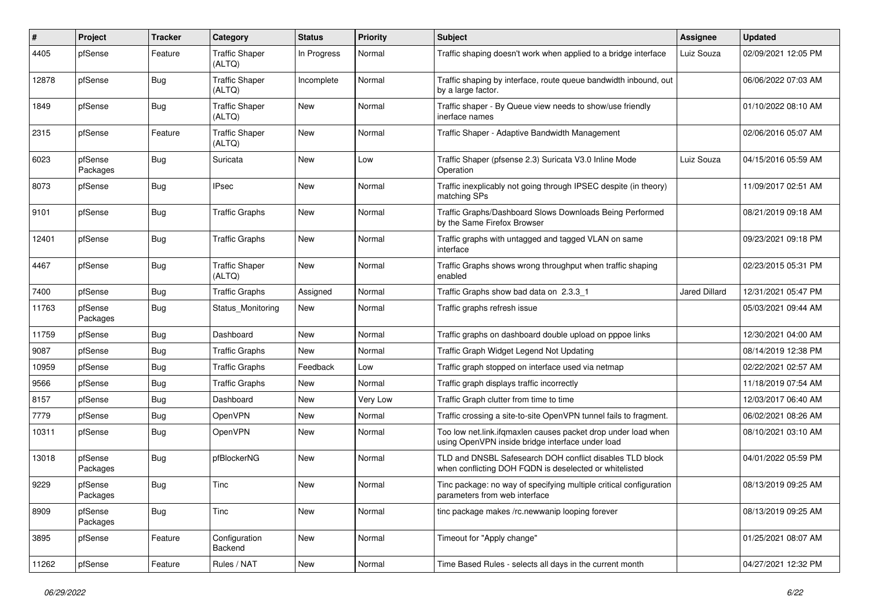| $\sharp$ | Project             | Tracker    | Category                        | <b>Status</b> | <b>Priority</b> | Subject                                                                                                            | <b>Assignee</b>      | <b>Updated</b>      |
|----------|---------------------|------------|---------------------------------|---------------|-----------------|--------------------------------------------------------------------------------------------------------------------|----------------------|---------------------|
| 4405     | pfSense             | Feature    | <b>Traffic Shaper</b><br>(ALTQ) | In Progress   | Normal          | Traffic shaping doesn't work when applied to a bridge interface                                                    | Luiz Souza           | 02/09/2021 12:05 PM |
| 12878    | pfSense             | <b>Bug</b> | <b>Traffic Shaper</b><br>(ALTQ) | Incomplete    | Normal          | Traffic shaping by interface, route queue bandwidth inbound, out<br>by a large factor.                             |                      | 06/06/2022 07:03 AM |
| 1849     | pfSense             | Bug        | <b>Traffic Shaper</b><br>(ALTQ) | <b>New</b>    | Normal          | Traffic shaper - By Queue view needs to show/use friendly<br>inerface names                                        |                      | 01/10/2022 08:10 AM |
| 2315     | pfSense             | Feature    | <b>Traffic Shaper</b><br>(ALTQ) | New           | Normal          | Traffic Shaper - Adaptive Bandwidth Management                                                                     |                      | 02/06/2016 05:07 AM |
| 6023     | pfSense<br>Packages | <b>Bug</b> | Suricata                        | New           | Low             | Traffic Shaper (pfsense 2.3) Suricata V3.0 Inline Mode<br>Operation                                                | Luiz Souza           | 04/15/2016 05:59 AM |
| 8073     | pfSense             | <b>Bug</b> | <b>IPsec</b>                    | New           | Normal          | Traffic inexplicably not going through IPSEC despite (in theory)<br>matching SPs                                   |                      | 11/09/2017 02:51 AM |
| 9101     | pfSense             | <b>Bug</b> | <b>Traffic Graphs</b>           | New           | Normal          | Traffic Graphs/Dashboard Slows Downloads Being Performed<br>by the Same Firefox Browser                            |                      | 08/21/2019 09:18 AM |
| 12401    | pfSense             | <b>Bug</b> | <b>Traffic Graphs</b>           | New           | Normal          | Traffic graphs with untagged and tagged VLAN on same<br>interface                                                  |                      | 09/23/2021 09:18 PM |
| 4467     | pfSense             | <b>Bug</b> | <b>Traffic Shaper</b><br>(ALTQ) | <b>New</b>    | Normal          | Traffic Graphs shows wrong throughput when traffic shaping<br>enabled                                              |                      | 02/23/2015 05:31 PM |
| 7400     | pfSense             | Bug        | <b>Traffic Graphs</b>           | Assigned      | Normal          | Traffic Graphs show bad data on 2.3.3 1                                                                            | <b>Jared Dillard</b> | 12/31/2021 05:47 PM |
| 11763    | pfSense<br>Packages | <b>Bug</b> | Status Monitoring               | New           | Normal          | Traffic graphs refresh issue                                                                                       |                      | 05/03/2021 09:44 AM |
| 11759    | pfSense             | Bug        | Dashboard                       | New           | Normal          | Traffic graphs on dashboard double upload on pppoe links                                                           |                      | 12/30/2021 04:00 AM |
| 9087     | pfSense             | Bug        | <b>Traffic Graphs</b>           | <b>New</b>    | Normal          | Traffic Graph Widget Legend Not Updating                                                                           |                      | 08/14/2019 12:38 PM |
| 10959    | pfSense             | Bug        | <b>Traffic Graphs</b>           | Feedback      | Low             | Traffic graph stopped on interface used via netmap                                                                 |                      | 02/22/2021 02:57 AM |
| 9566     | pfSense             | Bug        | <b>Traffic Graphs</b>           | New           | Normal          | Traffic graph displays traffic incorrectly                                                                         |                      | 11/18/2019 07:54 AM |
| 8157     | pfSense             | <b>Bug</b> | Dashboard                       | New           | Very Low        | Traffic Graph clutter from time to time                                                                            |                      | 12/03/2017 06:40 AM |
| 7779     | pfSense             | <b>Bug</b> | OpenVPN                         | New           | Normal          | Traffic crossing a site-to-site OpenVPN tunnel fails to fragment.                                                  |                      | 06/02/2021 08:26 AM |
| 10311    | pfSense             | Bug        | OpenVPN                         | New           | Normal          | Too low net.link.ifqmaxlen causes packet drop under load when<br>using OpenVPN inside bridge interface under load  |                      | 08/10/2021 03:10 AM |
| 13018    | pfSense<br>Packages | <b>Bug</b> | pfBlockerNG                     | New           | Normal          | TLD and DNSBL Safesearch DOH conflict disables TLD block<br>when conflicting DOH FQDN is deselected or whitelisted |                      | 04/01/2022 05:59 PM |
| 9229     | pfSense<br>Packages | Bug        | Tinc                            | New           | Normal          | Tinc package: no way of specifying multiple critical configuration<br>parameters from web interface                |                      | 08/13/2019 09:25 AM |
| 8909     | pfSense<br>Packages | i Bug      | Tinc                            | New           | Normal          | tinc package makes /rc.newwanip looping forever                                                                    |                      | 08/13/2019 09:25 AM |
| 3895     | pfSense             | Feature    | Configuration<br>Backend        | New           | Normal          | Timeout for "Apply change"                                                                                         |                      | 01/25/2021 08:07 AM |
| 11262    | pfSense             | Feature    | Rules / NAT                     | New           | Normal          | Time Based Rules - selects all days in the current month                                                           |                      | 04/27/2021 12:32 PM |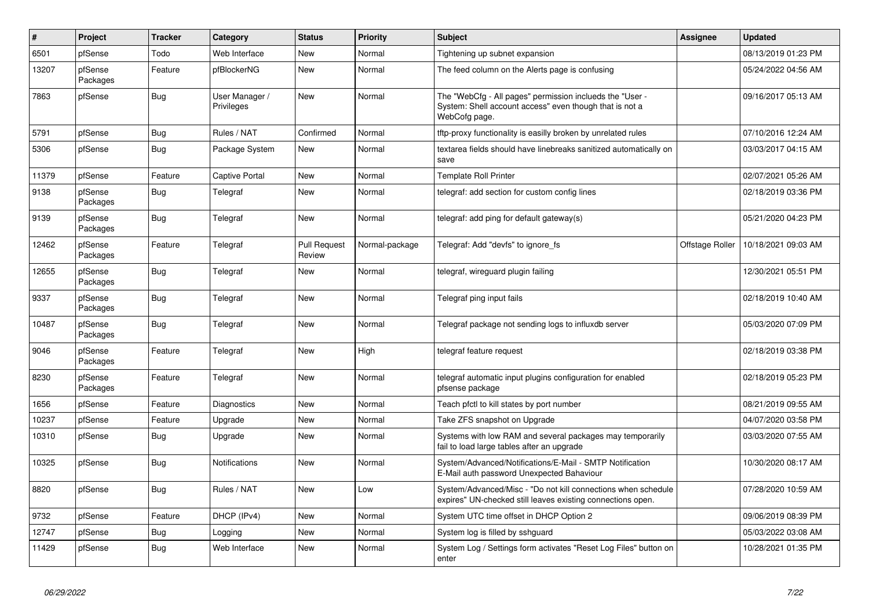| $\vert$ # | Project             | <b>Tracker</b> | Category                     | <b>Status</b>                 | <b>Priority</b> | <b>Subject</b>                                                                                                                       | Assignee        | <b>Updated</b>      |
|-----------|---------------------|----------------|------------------------------|-------------------------------|-----------------|--------------------------------------------------------------------------------------------------------------------------------------|-----------------|---------------------|
| 6501      | pfSense             | Todo           | Web Interface                | New                           | Normal          | Tightening up subnet expansion                                                                                                       |                 | 08/13/2019 01:23 PM |
| 13207     | pfSense<br>Packages | Feature        | pfBlockerNG                  | New                           | Normal          | The feed column on the Alerts page is confusing                                                                                      |                 | 05/24/2022 04:56 AM |
| 7863      | pfSense             | <b>Bug</b>     | User Manager /<br>Privileges | New                           | Normal          | The "WebCfg - All pages" permission inclueds the "User -<br>System: Shell account access" even though that is not a<br>WebCofg page. |                 | 09/16/2017 05:13 AM |
| 5791      | pfSense             | <b>Bug</b>     | Rules / NAT                  | Confirmed                     | Normal          | tftp-proxy functionality is easilly broken by unrelated rules                                                                        |                 | 07/10/2016 12:24 AM |
| 5306      | pfSense             | <b>Bug</b>     | Package System               | New                           | Normal          | textarea fields should have linebreaks sanitized automatically on<br>save                                                            |                 | 03/03/2017 04:15 AM |
| 11379     | pfSense             | Feature        | Captive Portal               | <b>New</b>                    | Normal          | <b>Template Roll Printer</b>                                                                                                         |                 | 02/07/2021 05:26 AM |
| 9138      | pfSense<br>Packages | Bug            | Telegraf                     | New                           | Normal          | telegraf: add section for custom config lines                                                                                        |                 | 02/18/2019 03:36 PM |
| 9139      | pfSense<br>Packages | <b>Bug</b>     | Telegraf                     | New                           | Normal          | telegraf: add ping for default gateway(s)                                                                                            |                 | 05/21/2020 04:23 PM |
| 12462     | pfSense<br>Packages | Feature        | Telegraf                     | <b>Pull Request</b><br>Review | Normal-package  | Telegraf: Add "devfs" to ignore_fs                                                                                                   | Offstage Roller | 10/18/2021 09:03 AM |
| 12655     | pfSense<br>Packages | <b>Bug</b>     | Telegraf                     | New                           | Normal          | telegraf, wireguard plugin failing                                                                                                   |                 | 12/30/2021 05:51 PM |
| 9337      | pfSense<br>Packages | Bug            | Telegraf                     | <b>New</b>                    | Normal          | Telegraf ping input fails                                                                                                            |                 | 02/18/2019 10:40 AM |
| 10487     | pfSense<br>Packages | <b>Bug</b>     | Telegraf                     | New                           | Normal          | Telegraf package not sending logs to influxdb server                                                                                 |                 | 05/03/2020 07:09 PM |
| 9046      | pfSense<br>Packages | Feature        | Telegraf                     | New                           | High            | telegraf feature request                                                                                                             |                 | 02/18/2019 03:38 PM |
| 8230      | pfSense<br>Packages | Feature        | Telegraf                     | <b>New</b>                    | Normal          | telegraf automatic input plugins configuration for enabled<br>pfsense package                                                        |                 | 02/18/2019 05:23 PM |
| 1656      | pfSense             | Feature        | Diagnostics                  | New                           | Normal          | Teach pfctl to kill states by port number                                                                                            |                 | 08/21/2019 09:55 AM |
| 10237     | pfSense             | Feature        | Upgrade                      | <b>New</b>                    | Normal          | Take ZFS snapshot on Upgrade                                                                                                         |                 | 04/07/2020 03:58 PM |
| 10310     | pfSense             | <b>Bug</b>     | Upgrade                      | New                           | Normal          | Systems with low RAM and several packages may temporarily<br>fail to load large tables after an upgrade                              |                 | 03/03/2020 07:55 AM |
| 10325     | pfSense             | <b>Bug</b>     | <b>Notifications</b>         | <b>New</b>                    | Normal          | System/Advanced/Notifications/E-Mail - SMTP Notification<br>E-Mail auth password Unexpected Bahaviour                                |                 | 10/30/2020 08:17 AM |
| 8820      | pfSense             | Bug            | Rules / NAT                  | New                           | Low             | System/Advanced/Misc - "Do not kill connections when schedule<br>expires" UN-checked still leaves existing connections open.         |                 | 07/28/2020 10:59 AM |
| 9732      | pfSense             | Feature        | DHCP (IPv4)                  | New                           | Normal          | System UTC time offset in DHCP Option 2                                                                                              |                 | 09/06/2019 08:39 PM |
| 12747     | pfSense             | Bug            | Logging                      | New                           | Normal          | System log is filled by sshguard                                                                                                     |                 | 05/03/2022 03:08 AM |
| 11429     | pfSense             | <b>Bug</b>     | Web Interface                | New                           | Normal          | System Log / Settings form activates "Reset Log Files" button on<br>enter                                                            |                 | 10/28/2021 01:35 PM |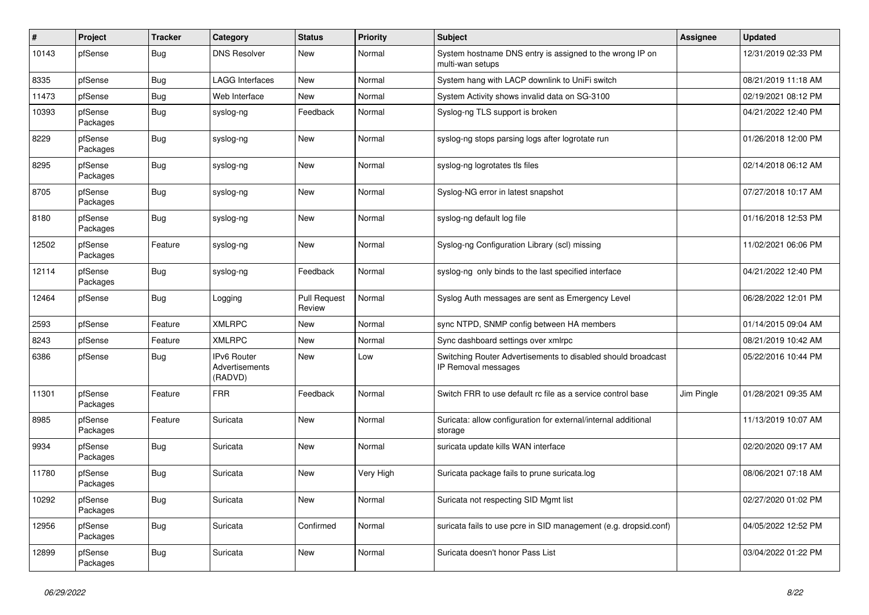| $\sharp$ | Project             | <b>Tracker</b> | Category                                 | <b>Status</b>                 | <b>Priority</b> | <b>Subject</b>                                                                      | <b>Assignee</b> | <b>Updated</b>      |
|----------|---------------------|----------------|------------------------------------------|-------------------------------|-----------------|-------------------------------------------------------------------------------------|-----------------|---------------------|
| 10143    | pfSense             | <b>Bug</b>     | <b>DNS Resolver</b>                      | <b>New</b>                    | Normal          | System hostname DNS entry is assigned to the wrong IP on<br>multi-wan setups        |                 | 12/31/2019 02:33 PM |
| 8335     | pfSense             | Bug            | <b>LAGG Interfaces</b>                   | New                           | Normal          | System hang with LACP downlink to UniFi switch                                      |                 | 08/21/2019 11:18 AM |
| 11473    | pfSense             | Bug            | Web Interface                            | <b>New</b>                    | Normal          | System Activity shows invalid data on SG-3100                                       |                 | 02/19/2021 08:12 PM |
| 10393    | pfSense<br>Packages | <b>Bug</b>     | syslog-ng                                | Feedback                      | Normal          | Syslog-ng TLS support is broken                                                     |                 | 04/21/2022 12:40 PM |
| 8229     | pfSense<br>Packages | Bug            | syslog-ng                                | New                           | Normal          | syslog-ng stops parsing logs after logrotate run                                    |                 | 01/26/2018 12:00 PM |
| 8295     | pfSense<br>Packages | <b>Bug</b>     | syslog-ng                                | New                           | Normal          | syslog-ng logrotates tls files                                                      |                 | 02/14/2018 06:12 AM |
| 8705     | pfSense<br>Packages | Bug            | syslog-ng                                | <b>New</b>                    | Normal          | Syslog-NG error in latest snapshot                                                  |                 | 07/27/2018 10:17 AM |
| 8180     | pfSense<br>Packages | <b>Bug</b>     | syslog-ng                                | <b>New</b>                    | Normal          | syslog-ng default log file                                                          |                 | 01/16/2018 12:53 PM |
| 12502    | pfSense<br>Packages | Feature        | syslog-ng                                | New                           | Normal          | Syslog-ng Configuration Library (scl) missing                                       |                 | 11/02/2021 06:06 PM |
| 12114    | pfSense<br>Packages | <b>Bug</b>     | syslog-ng                                | Feedback                      | Normal          | syslog-ng only binds to the last specified interface                                |                 | 04/21/2022 12:40 PM |
| 12464    | pfSense             | Bug            | Logging                                  | <b>Pull Request</b><br>Review | Normal          | Syslog Auth messages are sent as Emergency Level                                    |                 | 06/28/2022 12:01 PM |
| 2593     | pfSense             | Feature        | <b>XMLRPC</b>                            | New                           | Normal          | sync NTPD, SNMP config between HA members                                           |                 | 01/14/2015 09:04 AM |
| 8243     | pfSense             | Feature        | <b>XMLRPC</b>                            | <b>New</b>                    | Normal          | Sync dashboard settings over xmlrpc                                                 |                 | 08/21/2019 10:42 AM |
| 6386     | pfSense             | <b>Bug</b>     | IPv6 Router<br>Advertisements<br>(RADVD) | New                           | Low             | Switching Router Advertisements to disabled should broadcast<br>IP Removal messages |                 | 05/22/2016 10:44 PM |
| 11301    | pfSense<br>Packages | Feature        | <b>FRR</b>                               | Feedback                      | Normal          | Switch FRR to use default rc file as a service control base                         | Jim Pingle      | 01/28/2021 09:35 AM |
| 8985     | pfSense<br>Packages | Feature        | Suricata                                 | New                           | Normal          | Suricata: allow configuration for external/internal additional<br>storage           |                 | 11/13/2019 10:07 AM |
| 9934     | pfSense<br>Packages | <b>Bug</b>     | Suricata                                 | <b>New</b>                    | Normal          | suricata update kills WAN interface                                                 |                 | 02/20/2020 09:17 AM |
| 11780    | pfSense<br>Packages | <b>Bug</b>     | Suricata                                 | <b>New</b>                    | Very High       | Suricata package fails to prune suricata.log                                        |                 | 08/06/2021 07:18 AM |
| 10292    | pfSense<br>Packages | Bug            | Suricata                                 | New                           | Normal          | Suricata not respecting SID Mgmt list                                               |                 | 02/27/2020 01:02 PM |
| 12956    | pfSense<br>Packages | <b>Bug</b>     | Suricata                                 | Confirmed                     | Normal          | suricata fails to use pcre in SID management (e.g. dropsid.conf)                    |                 | 04/05/2022 12:52 PM |
| 12899    | pfSense<br>Packages | <b>Bug</b>     | Suricata                                 | New                           | Normal          | Suricata doesn't honor Pass List                                                    |                 | 03/04/2022 01:22 PM |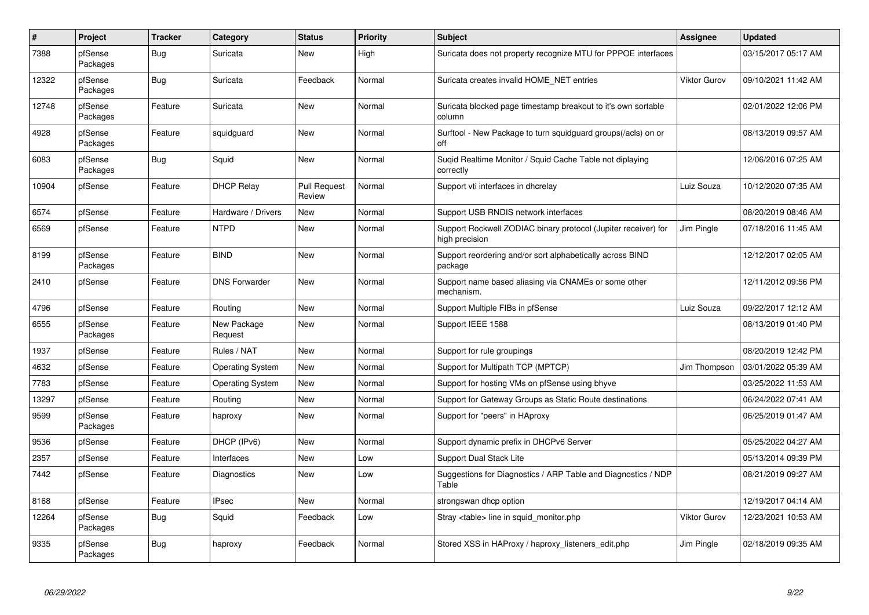| $\pmb{\#}$ | Project             | <b>Tracker</b> | Category                | <b>Status</b>                 | <b>Priority</b> | <b>Subject</b>                                                                   | <b>Assignee</b>     | <b>Updated</b>      |
|------------|---------------------|----------------|-------------------------|-------------------------------|-----------------|----------------------------------------------------------------------------------|---------------------|---------------------|
| 7388       | pfSense<br>Packages | Bug            | Suricata                | <b>New</b>                    | High            | Suricata does not property recognize MTU for PPPOE interfaces                    |                     | 03/15/2017 05:17 AM |
| 12322      | pfSense<br>Packages | Bug            | Suricata                | Feedback                      | Normal          | Suricata creates invalid HOME NET entries                                        | <b>Viktor Gurov</b> | 09/10/2021 11:42 AM |
| 12748      | pfSense<br>Packages | Feature        | Suricata                | New                           | Normal          | Suricata blocked page timestamp breakout to it's own sortable<br>column          |                     | 02/01/2022 12:06 PM |
| 4928       | pfSense<br>Packages | Feature        | squidguard              | <b>New</b>                    | Normal          | Surftool - New Package to turn squidguard groups(/acls) on or<br>off             |                     | 08/13/2019 09:57 AM |
| 6083       | pfSense<br>Packages | Bug            | Squid                   | <b>New</b>                    | Normal          | Suqid Realtime Monitor / Squid Cache Table not diplaying<br>correctly            |                     | 12/06/2016 07:25 AM |
| 10904      | pfSense             | Feature        | <b>DHCP Relay</b>       | <b>Pull Request</b><br>Review | Normal          | Support vti interfaces in dhcrelay                                               | Luiz Souza          | 10/12/2020 07:35 AM |
| 6574       | pfSense             | Feature        | Hardware / Drivers      | <b>New</b>                    | Normal          | Support USB RNDIS network interfaces                                             |                     | 08/20/2019 08:46 AM |
| 6569       | pfSense             | Feature        | <b>NTPD</b>             | <b>New</b>                    | Normal          | Support Rockwell ZODIAC binary protocol (Jupiter receiver) for<br>high precision | Jim Pingle          | 07/18/2016 11:45 AM |
| 8199       | pfSense<br>Packages | Feature        | <b>BIND</b>             | <b>New</b>                    | Normal          | Support reordering and/or sort alphabetically across BIND<br>package             |                     | 12/12/2017 02:05 AM |
| 2410       | pfSense             | Feature        | <b>DNS Forwarder</b>    | New                           | Normal          | Support name based aliasing via CNAMEs or some other<br>mechanism.               |                     | 12/11/2012 09:56 PM |
| 4796       | pfSense             | Feature        | Routing                 | New                           | Normal          | Support Multiple FIBs in pfSense                                                 | Luiz Souza          | 09/22/2017 12:12 AM |
| 6555       | pfSense<br>Packages | Feature        | New Package<br>Request  | New                           | Normal          | Support IEEE 1588                                                                |                     | 08/13/2019 01:40 PM |
| 1937       | pfSense             | Feature        | Rules / NAT             | <b>New</b>                    | Normal          | Support for rule groupings                                                       |                     | 08/20/2019 12:42 PM |
| 4632       | pfSense             | Feature        | <b>Operating System</b> | New                           | Normal          | Support for Multipath TCP (MPTCP)                                                | Jim Thompson        | 03/01/2022 05:39 AM |
| 7783       | pfSense             | Feature        | <b>Operating System</b> | <b>New</b>                    | Normal          | Support for hosting VMs on pfSense using bhyve                                   |                     | 03/25/2022 11:53 AM |
| 13297      | pfSense             | Feature        | Routing                 | New                           | Normal          | Support for Gateway Groups as Static Route destinations                          |                     | 06/24/2022 07:41 AM |
| 9599       | pfSense<br>Packages | Feature        | haproxy                 | <b>New</b>                    | Normal          | Support for "peers" in HAproxy                                                   |                     | 06/25/2019 01:47 AM |
| 9536       | pfSense             | Feature        | DHCP (IPv6)             | <b>New</b>                    | Normal          | Support dynamic prefix in DHCPv6 Server                                          |                     | 05/25/2022 04:27 AM |
| 2357       | pfSense             | Feature        | Interfaces              | New                           | Low             | <b>Support Dual Stack Lite</b>                                                   |                     | 05/13/2014 09:39 PM |
| 7442       | pfSense             | Feature        | Diagnostics             | <b>New</b>                    | Low             | Suggestions for Diagnostics / ARP Table and Diagnostics / NDP<br>Table           |                     | 08/21/2019 09:27 AM |
| 8168       | pfSense             | Feature        | <b>IPsec</b>            | <b>New</b>                    | Normal          | strongswan dhcp option                                                           |                     | 12/19/2017 04:14 AM |
| 12264      | pfSense<br>Packages | Bug            | Squid                   | Feedback                      | Low             | Stray <table> line in squid monitor.php</table>                                  | <b>Viktor Gurov</b> | 12/23/2021 10:53 AM |
| 9335       | pfSense<br>Packages | <b>Bug</b>     | haproxy                 | Feedback                      | Normal          | Stored XSS in HAProxy / haproxy_listeners_edit.php                               | Jim Pingle          | 02/18/2019 09:35 AM |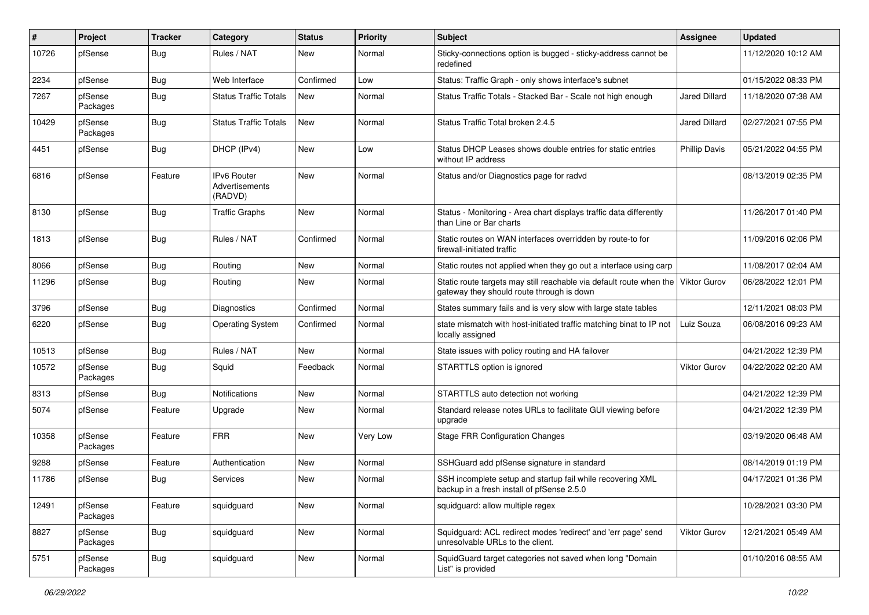| #     | Project             | <b>Tracker</b> | Category                                        | <b>Status</b> | <b>Priority</b> | Subject                                                                                                          | <b>Assignee</b>      | <b>Updated</b>      |
|-------|---------------------|----------------|-------------------------------------------------|---------------|-----------------|------------------------------------------------------------------------------------------------------------------|----------------------|---------------------|
| 10726 | pfSense             | <b>Bug</b>     | Rules / NAT                                     | New           | Normal          | Sticky-connections option is bugged - sticky-address cannot be<br>redefined                                      |                      | 11/12/2020 10:12 AM |
| 2234  | pfSense             | Bug            | Web Interface                                   | Confirmed     | Low             | Status: Traffic Graph - only shows interface's subnet                                                            |                      | 01/15/2022 08:33 PM |
| 7267  | pfSense<br>Packages | Bug            | <b>Status Traffic Totals</b>                    | New           | Normal          | Status Traffic Totals - Stacked Bar - Scale not high enough                                                      | <b>Jared Dillard</b> | 11/18/2020 07:38 AM |
| 10429 | pfSense<br>Packages | <b>Bug</b>     | <b>Status Traffic Totals</b>                    | New           | Normal          | Status Traffic Total broken 2.4.5                                                                                | Jared Dillard        | 02/27/2021 07:55 PM |
| 4451  | pfSense             | Bug            | DHCP (IPv4)                                     | <b>New</b>    | Low             | Status DHCP Leases shows double entries for static entries<br>without IP address                                 | <b>Phillip Davis</b> | 05/21/2022 04:55 PM |
| 6816  | pfSense             | Feature        | <b>IPv6 Router</b><br>Advertisements<br>(RADVD) | <b>New</b>    | Normal          | Status and/or Diagnostics page for radvd                                                                         |                      | 08/13/2019 02:35 PM |
| 8130  | pfSense             | Bug            | Traffic Graphs                                  | <b>New</b>    | Normal          | Status - Monitoring - Area chart displays traffic data differently<br>than Line or Bar charts                    |                      | 11/26/2017 01:40 PM |
| 1813  | pfSense             | Bug            | Rules / NAT                                     | Confirmed     | Normal          | Static routes on WAN interfaces overridden by route-to for<br>firewall-initiated traffic                         |                      | 11/09/2016 02:06 PM |
| 8066  | pfSense             | Bug            | Routing                                         | New           | Normal          | Static routes not applied when they go out a interface using carp                                                |                      | 11/08/2017 02:04 AM |
| 11296 | pfSense             | Bug            | Routing                                         | New           | Normal          | Static route targets may still reachable via default route when the<br>gateway they should route through is down | <b>Viktor Gurov</b>  | 06/28/2022 12:01 PM |
| 3796  | pfSense             | Bug            | Diagnostics                                     | Confirmed     | Normal          | States summary fails and is very slow with large state tables                                                    |                      | 12/11/2021 08:03 PM |
| 6220  | pfSense             | Bug            | <b>Operating System</b>                         | Confirmed     | Normal          | state mismatch with host-initiated traffic matching binat to IP not<br>locally assigned                          | Luiz Souza           | 06/08/2016 09:23 AM |
| 10513 | pfSense             | Bug            | Rules / NAT                                     | <b>New</b>    | Normal          | State issues with policy routing and HA failover                                                                 |                      | 04/21/2022 12:39 PM |
| 10572 | pfSense<br>Packages | Bug            | Squid                                           | Feedback      | Normal          | STARTTLS option is ignored                                                                                       | Viktor Gurov         | 04/22/2022 02:20 AM |
| 8313  | pfSense             | Bug            | Notifications                                   | New           | Normal          | STARTTLS auto detection not working                                                                              |                      | 04/21/2022 12:39 PM |
| 5074  | pfSense             | Feature        | Upgrade                                         | New           | Normal          | Standard release notes URLs to facilitate GUI viewing before<br>upgrade                                          |                      | 04/21/2022 12:39 PM |
| 10358 | pfSense<br>Packages | Feature        | <b>FRR</b>                                      | New           | Very Low        | <b>Stage FRR Configuration Changes</b>                                                                           |                      | 03/19/2020 06:48 AM |
| 9288  | pfSense             | Feature        | Authentication                                  | New           | Normal          | SSHGuard add pfSense signature in standard                                                                       |                      | 08/14/2019 01:19 PM |
| 11786 | pfSense             | Bug            | Services                                        | <b>New</b>    | Normal          | SSH incomplete setup and startup fail while recovering XML<br>backup in a fresh install of pfSense 2.5.0         |                      | 04/17/2021 01:36 PM |
| 12491 | pfSense<br>Packages | Feature        | squidguard                                      | New           | Normal          | squidguard: allow multiple regex                                                                                 |                      | 10/28/2021 03:30 PM |
| 8827  | pfSense<br>Packages | <b>Bug</b>     | squidguard                                      | New           | Normal          | Squidguard: ACL redirect modes 'redirect' and 'err page' send<br>unresolvable URLs to the client.                | <b>Viktor Gurov</b>  | 12/21/2021 05:49 AM |
| 5751  | pfSense<br>Packages | Bug            | squidguard                                      | New           | Normal          | SquidGuard target categories not saved when long "Domain<br>List" is provided                                    |                      | 01/10/2016 08:55 AM |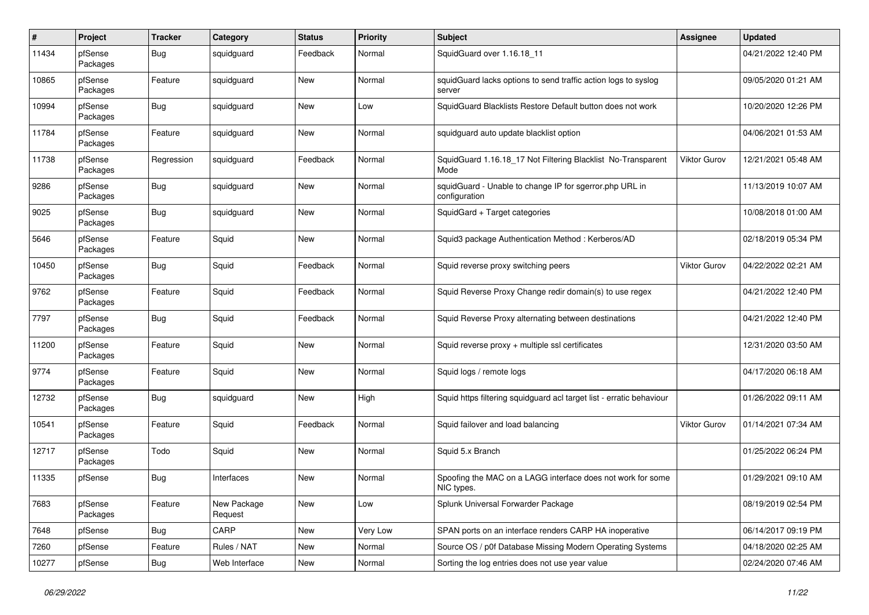| #     | Project             | <b>Tracker</b> | Category               | <b>Status</b> | Priority | Subject                                                                   | Assignee            | <b>Updated</b>      |
|-------|---------------------|----------------|------------------------|---------------|----------|---------------------------------------------------------------------------|---------------------|---------------------|
| 11434 | pfSense<br>Packages | <b>Bug</b>     | squidguard             | Feedback      | Normal   | SquidGuard over 1.16.18_11                                                |                     | 04/21/2022 12:40 PM |
| 10865 | pfSense<br>Packages | Feature        | squidguard             | New           | Normal   | squidGuard lacks options to send traffic action logs to syslog<br>server  |                     | 09/05/2020 01:21 AM |
| 10994 | pfSense<br>Packages | <b>Bug</b>     | squidguard             | New           | Low      | SquidGuard Blacklists Restore Default button does not work                |                     | 10/20/2020 12:26 PM |
| 11784 | pfSense<br>Packages | Feature        | squidguard             | New           | Normal   | squidguard auto update blacklist option                                   |                     | 04/06/2021 01:53 AM |
| 11738 | pfSense<br>Packages | Regression     | squidguard             | Feedback      | Normal   | SquidGuard 1.16.18_17 Not Filtering Blacklist No-Transparent<br>Mode      | Viktor Gurov        | 12/21/2021 05:48 AM |
| 9286  | pfSense<br>Packages | Bug            | squidguard             | New           | Normal   | squidGuard - Unable to change IP for sgerror.php URL in<br>configuration  |                     | 11/13/2019 10:07 AM |
| 9025  | pfSense<br>Packages | Bug            | squidguard             | New           | Normal   | SquidGard + Target categories                                             |                     | 10/08/2018 01:00 AM |
| 5646  | pfSense<br>Packages | Feature        | Squid                  | New           | Normal   | Squid3 package Authentication Method: Kerberos/AD                         |                     | 02/18/2019 05:34 PM |
| 10450 | pfSense<br>Packages | Bug            | Squid                  | Feedback      | Normal   | Squid reverse proxy switching peers                                       | <b>Viktor Gurov</b> | 04/22/2022 02:21 AM |
| 9762  | pfSense<br>Packages | Feature        | Squid                  | Feedback      | Normal   | Squid Reverse Proxy Change redir domain(s) to use regex                   |                     | 04/21/2022 12:40 PM |
| 7797  | pfSense<br>Packages | Bug            | Squid                  | Feedback      | Normal   | Squid Reverse Proxy alternating between destinations                      |                     | 04/21/2022 12:40 PM |
| 11200 | pfSense<br>Packages | Feature        | Squid                  | New           | Normal   | Squid reverse proxy + multiple ssl certificates                           |                     | 12/31/2020 03:50 AM |
| 9774  | pfSense<br>Packages | Feature        | Squid                  | New           | Normal   | Squid logs / remote logs                                                  |                     | 04/17/2020 06:18 AM |
| 12732 | pfSense<br>Packages | Bug            | squidguard             | New           | High     | Squid https filtering squidguard acl target list - erratic behaviour      |                     | 01/26/2022 09:11 AM |
| 10541 | pfSense<br>Packages | Feature        | Squid                  | Feedback      | Normal   | Squid failover and load balancing                                         | <b>Viktor Gurov</b> | 01/14/2021 07:34 AM |
| 12717 | pfSense<br>Packages | Todo           | Squid                  | New           | Normal   | Squid 5.x Branch                                                          |                     | 01/25/2022 06:24 PM |
| 11335 | pfSense             | Bug            | Interfaces             | New           | Normal   | Spoofing the MAC on a LAGG interface does not work for some<br>NIC types. |                     | 01/29/2021 09:10 AM |
| 7683  | pfSense<br>Packages | Feature        | New Package<br>Request | New           | Low      | Splunk Universal Forwarder Package                                        |                     | 08/19/2019 02:54 PM |
| 7648  | pfSense             | <b>Bug</b>     | CARP                   | New           | Very Low | SPAN ports on an interface renders CARP HA inoperative                    |                     | 06/14/2017 09:19 PM |
| 7260  | pfSense             | Feature        | Rules / NAT            | New           | Normal   | Source OS / p0f Database Missing Modern Operating Systems                 |                     | 04/18/2020 02:25 AM |
| 10277 | pfSense             | <b>Bug</b>     | Web Interface          | New           | Normal   | Sorting the log entries does not use year value                           |                     | 02/24/2020 07:46 AM |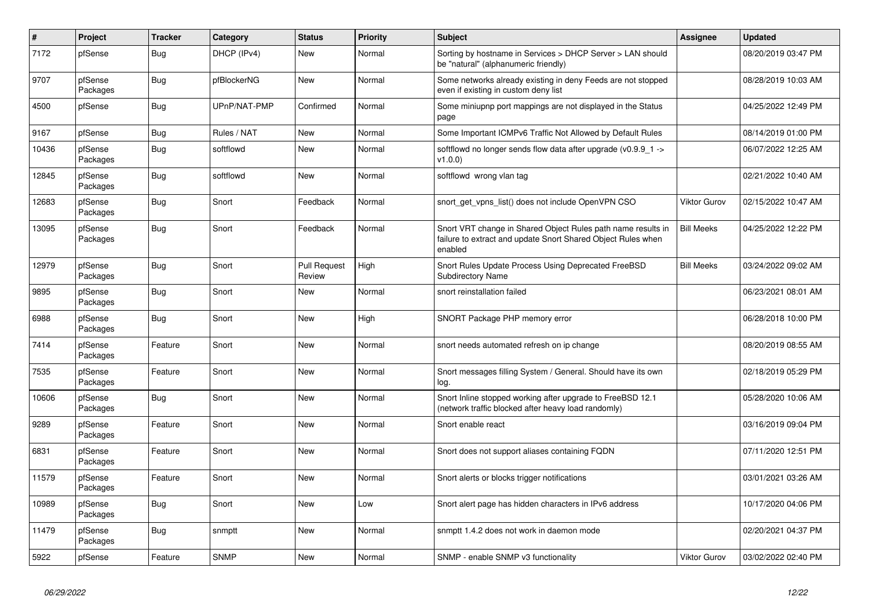| #     | <b>Project</b>      | <b>Tracker</b> | Category     | <b>Status</b>                 | Priority | <b>Subject</b>                                                                                                                          | <b>Assignee</b>     | <b>Updated</b>      |
|-------|---------------------|----------------|--------------|-------------------------------|----------|-----------------------------------------------------------------------------------------------------------------------------------------|---------------------|---------------------|
| 7172  | pfSense             | Bug            | DHCP (IPv4)  | <b>New</b>                    | Normal   | Sorting by hostname in Services > DHCP Server > LAN should<br>be "natural" (alphanumeric friendly)                                      |                     | 08/20/2019 03:47 PM |
| 9707  | pfSense<br>Packages | <b>Bug</b>     | pfBlockerNG  | New                           | Normal   | Some networks already existing in deny Feeds are not stopped<br>even if existing in custom deny list                                    |                     | 08/28/2019 10:03 AM |
| 4500  | pfSense             | Bug            | UPnP/NAT-PMP | Confirmed                     | Normal   | Some miniupnp port mappings are not displayed in the Status<br>page                                                                     |                     | 04/25/2022 12:49 PM |
| 9167  | pfSense             | Bug            | Rules / NAT  | New                           | Normal   | Some Important ICMPv6 Traffic Not Allowed by Default Rules                                                                              |                     | 08/14/2019 01:00 PM |
| 10436 | pfSense<br>Packages | <b>Bug</b>     | softflowd    | <b>New</b>                    | Normal   | softflowd no longer sends flow data after upgrade $(v0.9.9 1 -$<br>v1.0.0                                                               |                     | 06/07/2022 12:25 AM |
| 12845 | pfSense<br>Packages | Bug            | softflowd    | <b>New</b>                    | Normal   | softflowd wrong vlan tag                                                                                                                |                     | 02/21/2022 10:40 AM |
| 12683 | pfSense<br>Packages | Bug            | Snort        | Feedback                      | Normal   | snort get vpns list() does not include OpenVPN CSO                                                                                      | <b>Viktor Gurov</b> | 02/15/2022 10:47 AM |
| 13095 | pfSense<br>Packages | <b>Bug</b>     | Snort        | Feedback                      | Normal   | Snort VRT change in Shared Object Rules path name results in<br>failure to extract and update Snort Shared Object Rules when<br>enabled | <b>Bill Meeks</b>   | 04/25/2022 12:22 PM |
| 12979 | pfSense<br>Packages | Bug            | Snort        | <b>Pull Request</b><br>Review | High     | Snort Rules Update Process Using Deprecated FreeBSD<br><b>Subdirectory Name</b>                                                         | <b>Bill Meeks</b>   | 03/24/2022 09:02 AM |
| 9895  | pfSense<br>Packages | Bug            | Snort        | New                           | Normal   | snort reinstallation failed                                                                                                             |                     | 06/23/2021 08:01 AM |
| 6988  | pfSense<br>Packages | Bug            | Snort        | New                           | High     | SNORT Package PHP memory error                                                                                                          |                     | 06/28/2018 10:00 PM |
| 7414  | pfSense<br>Packages | Feature        | Snort        | <b>New</b>                    | Normal   | snort needs automated refresh on ip change                                                                                              |                     | 08/20/2019 08:55 AM |
| 7535  | pfSense<br>Packages | Feature        | Snort        | <b>New</b>                    | Normal   | Snort messages filling System / General. Should have its own<br>log.                                                                    |                     | 02/18/2019 05:29 PM |
| 10606 | pfSense<br>Packages | Bug            | Snort        | New                           | Normal   | Snort Inline stopped working after upgrade to FreeBSD 12.1<br>(network traffic blocked after heavy load randomly)                       |                     | 05/28/2020 10:06 AM |
| 9289  | pfSense<br>Packages | Feature        | Snort        | <b>New</b>                    | Normal   | Snort enable react                                                                                                                      |                     | 03/16/2019 09:04 PM |
| 6831  | pfSense<br>Packages | Feature        | Snort        | <b>New</b>                    | Normal   | Snort does not support aliases containing FQDN                                                                                          |                     | 07/11/2020 12:51 PM |
| 11579 | pfSense<br>Packages | Feature        | Snort        | <b>New</b>                    | Normal   | Snort alerts or blocks trigger notifications                                                                                            |                     | 03/01/2021 03:26 AM |
| 10989 | pfSense<br>Packages | <b>Bug</b>     | Snort        | New                           | Low      | Snort alert page has hidden characters in IPv6 address                                                                                  |                     | 10/17/2020 04:06 PM |
| 11479 | pfSense<br>Packages | Bug            | snmptt       | <b>New</b>                    | Normal   | snmptt 1.4.2 does not work in daemon mode                                                                                               |                     | 02/20/2021 04:37 PM |
| 5922  | pfSense             | Feature        | <b>SNMP</b>  | New                           | Normal   | SNMP - enable SNMP v3 functionality                                                                                                     | Viktor Gurov        | 03/02/2022 02:40 PM |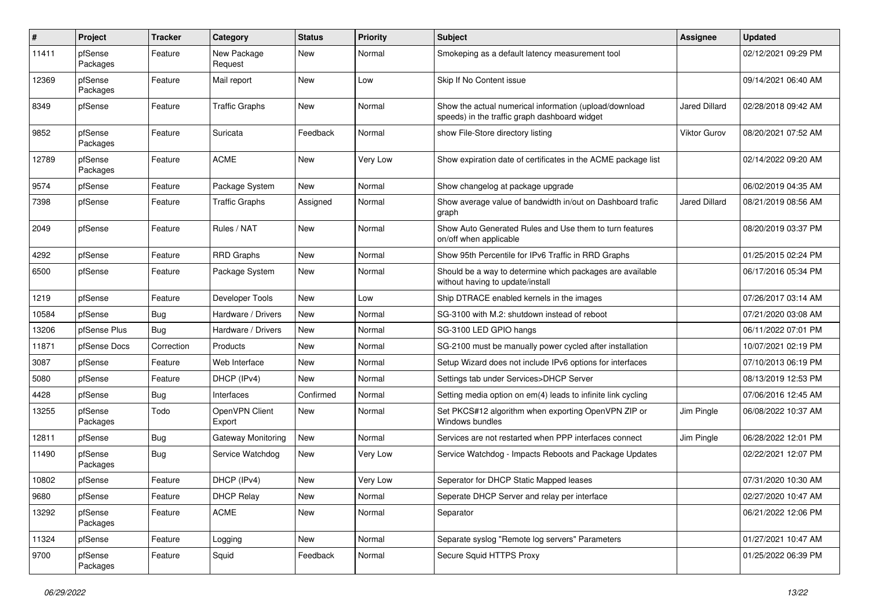| $\pmb{\#}$ | Project             | <b>Tracker</b> | Category                 | <b>Status</b> | <b>Priority</b> | <b>Subject</b>                                                                                          | <b>Assignee</b>      | <b>Updated</b>      |
|------------|---------------------|----------------|--------------------------|---------------|-----------------|---------------------------------------------------------------------------------------------------------|----------------------|---------------------|
| 11411      | pfSense<br>Packages | Feature        | New Package<br>Request   | New           | Normal          | Smokeping as a default latency measurement tool                                                         |                      | 02/12/2021 09:29 PM |
| 12369      | pfSense<br>Packages | Feature        | Mail report              | <b>New</b>    | Low             | Skip If No Content issue                                                                                |                      | 09/14/2021 06:40 AM |
| 8349       | pfSense             | Feature        | <b>Traffic Graphs</b>    | <b>New</b>    | Normal          | Show the actual numerical information (upload/download<br>speeds) in the traffic graph dashboard widget | <b>Jared Dillard</b> | 02/28/2018 09:42 AM |
| 9852       | pfSense<br>Packages | Feature        | Suricata                 | Feedback      | Normal          | show File-Store directory listing                                                                       | <b>Viktor Gurov</b>  | 08/20/2021 07:52 AM |
| 12789      | pfSense<br>Packages | Feature        | <b>ACME</b>              | New           | Very Low        | Show expiration date of certificates in the ACME package list                                           |                      | 02/14/2022 09:20 AM |
| 9574       | pfSense             | Feature        | Package System           | New           | Normal          | Show changelog at package upgrade                                                                       |                      | 06/02/2019 04:35 AM |
| 7398       | pfSense             | Feature        | <b>Traffic Graphs</b>    | Assigned      | Normal          | Show average value of bandwidth in/out on Dashboard trafic<br>graph                                     | <b>Jared Dillard</b> | 08/21/2019 08:56 AM |
| 2049       | pfSense             | Feature        | Rules / NAT              | <b>New</b>    | Normal          | Show Auto Generated Rules and Use them to turn features<br>on/off when applicable                       |                      | 08/20/2019 03:37 PM |
| 4292       | pfSense             | Feature        | <b>RRD Graphs</b>        | <b>New</b>    | Normal          | Show 95th Percentile for IPv6 Traffic in RRD Graphs                                                     |                      | 01/25/2015 02:24 PM |
| 6500       | pfSense             | Feature        | Package System           | New           | Normal          | Should be a way to determine which packages are available<br>without having to update/install           |                      | 06/17/2016 05:34 PM |
| 1219       | pfSense             | Feature        | Developer Tools          | New           | Low             | Ship DTRACE enabled kernels in the images                                                               |                      | 07/26/2017 03:14 AM |
| 10584      | pfSense             | Bug            | Hardware / Drivers       | <b>New</b>    | Normal          | SG-3100 with M.2: shutdown instead of reboot                                                            |                      | 07/21/2020 03:08 AM |
| 13206      | pfSense Plus        | Bug            | Hardware / Drivers       | <b>New</b>    | Normal          | SG-3100 LED GPIO hangs                                                                                  |                      | 06/11/2022 07:01 PM |
| 11871      | pfSense Docs        | Correction     | Products                 | New           | Normal          | SG-2100 must be manually power cycled after installation                                                |                      | 10/07/2021 02:19 PM |
| 3087       | pfSense             | Feature        | Web Interface            | New           | Normal          | Setup Wizard does not include IPv6 options for interfaces                                               |                      | 07/10/2013 06:19 PM |
| 5080       | pfSense             | Feature        | DHCP (IPv4)              | <b>New</b>    | Normal          | Settings tab under Services>DHCP Server                                                                 |                      | 08/13/2019 12:53 PM |
| 4428       | pfSense             | Bug            | Interfaces               | Confirmed     | Normal          | Setting media option on em(4) leads to infinite link cycling                                            |                      | 07/06/2016 12:45 AM |
| 13255      | pfSense<br>Packages | Todo           | OpenVPN Client<br>Export | New           | Normal          | Set PKCS#12 algorithm when exporting OpenVPN ZIP or<br>Windows bundles                                  | Jim Pingle           | 06/08/2022 10:37 AM |
| 12811      | pfSense             | Bug            | Gateway Monitoring       | New           | Normal          | Services are not restarted when PPP interfaces connect                                                  | Jim Pingle           | 06/28/2022 12:01 PM |
| 11490      | pfSense<br>Packages | Bug            | Service Watchdog         | New           | Very Low        | Service Watchdog - Impacts Reboots and Package Updates                                                  |                      | 02/22/2021 12:07 PM |
| 10802      | pfSense             | Feature        | DHCP (IPv4)              | New           | Very Low        | Seperator for DHCP Static Mapped leases                                                                 |                      | 07/31/2020 10:30 AM |
| 9680       | pfSense             | Feature        | <b>DHCP Relay</b>        | New           | Normal          | Seperate DHCP Server and relay per interface                                                            |                      | 02/27/2020 10:47 AM |
| 13292      | pfSense<br>Packages | Feature        | <b>ACME</b>              | New           | Normal          | Separator                                                                                               |                      | 06/21/2022 12:06 PM |
| 11324      | pfSense             | Feature        | Logging                  | New           | Normal          | Separate syslog "Remote log servers" Parameters                                                         |                      | 01/27/2021 10:47 AM |
| 9700       | pfSense<br>Packages | Feature        | Squid                    | Feedback      | Normal          | Secure Squid HTTPS Proxy                                                                                |                      | 01/25/2022 06:39 PM |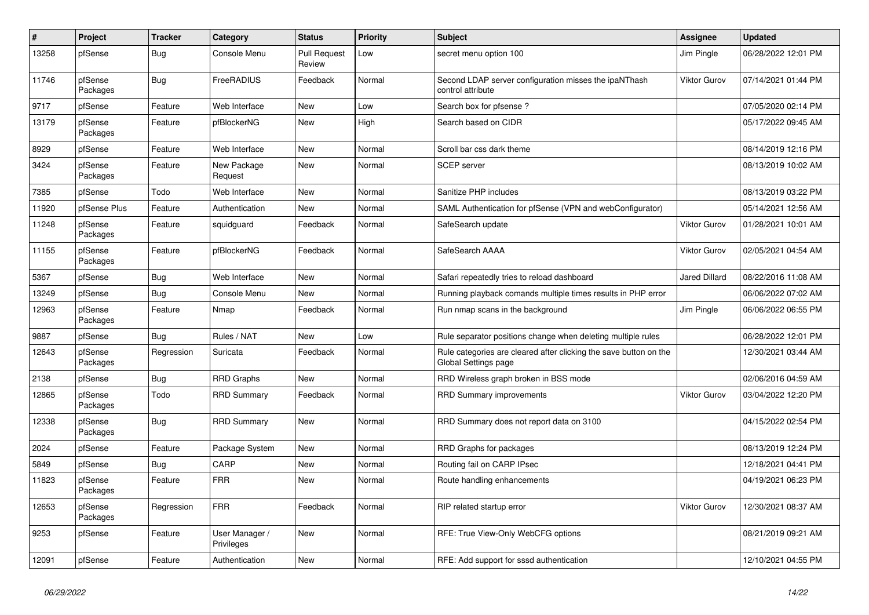| $\pmb{\#}$ | Project             | <b>Tracker</b> | Category                     | <b>Status</b>                 | <b>Priority</b> | <b>Subject</b>                                                                            | Assignee             | <b>Updated</b>      |
|------------|---------------------|----------------|------------------------------|-------------------------------|-----------------|-------------------------------------------------------------------------------------------|----------------------|---------------------|
| 13258      | pfSense             | Bug            | Console Menu                 | <b>Pull Request</b><br>Review | Low             | secret menu option 100                                                                    | Jim Pingle           | 06/28/2022 12:01 PM |
| 11746      | pfSense<br>Packages | <b>Bug</b>     | FreeRADIUS                   | Feedback                      | Normal          | Second LDAP server configuration misses the ipaNThash<br>control attribute                | <b>Viktor Gurov</b>  | 07/14/2021 01:44 PM |
| 9717       | pfSense             | Feature        | Web Interface                | <b>New</b>                    | Low             | Search box for pfsense?                                                                   |                      | 07/05/2020 02:14 PM |
| 13179      | pfSense<br>Packages | Feature        | pfBlockerNG                  | <b>New</b>                    | High            | Search based on CIDR                                                                      |                      | 05/17/2022 09:45 AM |
| 8929       | pfSense             | Feature        | Web Interface                | New                           | Normal          | Scroll bar css dark theme                                                                 |                      | 08/14/2019 12:16 PM |
| 3424       | pfSense<br>Packages | Feature        | New Package<br>Request       | New                           | Normal          | <b>SCEP</b> server                                                                        |                      | 08/13/2019 10:02 AM |
| 7385       | pfSense             | Todo           | Web Interface                | <b>New</b>                    | Normal          | Sanitize PHP includes                                                                     |                      | 08/13/2019 03:22 PM |
| 11920      | pfSense Plus        | Feature        | Authentication               | New                           | Normal          | SAML Authentication for pfSense (VPN and webConfigurator)                                 |                      | 05/14/2021 12:56 AM |
| 11248      | pfSense<br>Packages | Feature        | squidguard                   | Feedback                      | Normal          | SafeSearch update                                                                         | <b>Viktor Gurov</b>  | 01/28/2021 10:01 AM |
| 11155      | pfSense<br>Packages | Feature        | pfBlockerNG                  | Feedback                      | Normal          | SafeSearch AAAA                                                                           | <b>Viktor Gurov</b>  | 02/05/2021 04:54 AM |
| 5367       | pfSense             | Bug            | Web Interface                | New                           | Normal          | Safari repeatedly tries to reload dashboard                                               | <b>Jared Dillard</b> | 08/22/2016 11:08 AM |
| 13249      | pfSense             | <b>Bug</b>     | Console Menu                 | New                           | Normal          | Running playback comands multiple times results in PHP error                              |                      | 06/06/2022 07:02 AM |
| 12963      | pfSense<br>Packages | Feature        | Nmap                         | Feedback                      | Normal          | Run nmap scans in the background                                                          | Jim Pingle           | 06/06/2022 06:55 PM |
| 9887       | pfSense             | <b>Bug</b>     | Rules / NAT                  | <b>New</b>                    | Low             | Rule separator positions change when deleting multiple rules                              |                      | 06/28/2022 12:01 PM |
| 12643      | pfSense<br>Packages | Regression     | Suricata                     | Feedback                      | Normal          | Rule categories are cleared after clicking the save button on the<br>Global Settings page |                      | 12/30/2021 03:44 AM |
| 2138       | pfSense             | <b>Bug</b>     | <b>RRD Graphs</b>            | <b>New</b>                    | Normal          | RRD Wireless graph broken in BSS mode                                                     |                      | 02/06/2016 04:59 AM |
| 12865      | pfSense<br>Packages | Todo           | <b>RRD Summary</b>           | Feedback                      | Normal          | <b>RRD Summary improvements</b>                                                           | <b>Viktor Gurov</b>  | 03/04/2022 12:20 PM |
| 12338      | pfSense<br>Packages | <b>Bug</b>     | <b>RRD Summary</b>           | New                           | Normal          | RRD Summary does not report data on 3100                                                  |                      | 04/15/2022 02:54 PM |
| 2024       | pfSense             | Feature        | Package System               | <b>New</b>                    | Normal          | RRD Graphs for packages                                                                   |                      | 08/13/2019 12:24 PM |
| 5849       | pfSense             | <b>Bug</b>     | CARP                         | <b>New</b>                    | Normal          | Routing fail on CARP IPsec                                                                |                      | 12/18/2021 04:41 PM |
| 11823      | pfSense<br>Packages | Feature        | <b>FRR</b>                   | New                           | Normal          | Route handling enhancements                                                               |                      | 04/19/2021 06:23 PM |
| 12653      | pfSense<br>Packages | Regression     | <b>FRR</b>                   | Feedback                      | Normal          | RIP related startup error                                                                 | Viktor Gurov         | 12/30/2021 08:37 AM |
| 9253       | pfSense             | Feature        | User Manager /<br>Privileges | <b>New</b>                    | Normal          | RFE: True View-Only WebCFG options                                                        |                      | 08/21/2019 09:21 AM |
| 12091      | pfSense             | Feature        | Authentication               | New                           | Normal          | RFE: Add support for sssd authentication                                                  |                      | 12/10/2021 04:55 PM |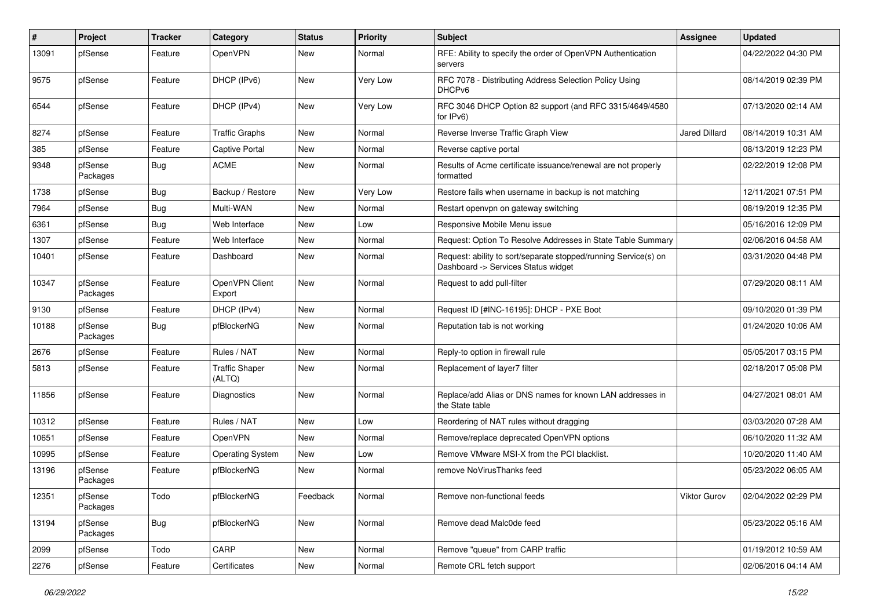| #     | Project             | <b>Tracker</b> | Category                        | <b>Status</b> | <b>Priority</b> | <b>Subject</b>                                                                                         | <b>Assignee</b>      | <b>Updated</b>      |
|-------|---------------------|----------------|---------------------------------|---------------|-----------------|--------------------------------------------------------------------------------------------------------|----------------------|---------------------|
| 13091 | pfSense             | Feature        | OpenVPN                         | New           | Normal          | RFE: Ability to specify the order of OpenVPN Authentication<br>servers                                 |                      | 04/22/2022 04:30 PM |
| 9575  | pfSense             | Feature        | DHCP (IPv6)                     | <b>New</b>    | Very Low        | RFC 7078 - Distributing Address Selection Policy Using<br>DHCP <sub>v6</sub>                           |                      | 08/14/2019 02:39 PM |
| 6544  | pfSense             | Feature        | DHCP (IPv4)                     | <b>New</b>    | Very Low        | RFC 3046 DHCP Option 82 support (and RFC 3315/4649/4580<br>for IPv6)                                   |                      | 07/13/2020 02:14 AM |
| 8274  | pfSense             | Feature        | <b>Traffic Graphs</b>           | <b>New</b>    | Normal          | Reverse Inverse Traffic Graph View                                                                     | <b>Jared Dillard</b> | 08/14/2019 10:31 AM |
| 385   | pfSense             | Feature        | <b>Captive Portal</b>           | New           | Normal          | Reverse captive portal                                                                                 |                      | 08/13/2019 12:23 PM |
| 9348  | pfSense<br>Packages | <b>Bug</b>     | <b>ACME</b>                     | New           | Normal          | Results of Acme certificate issuance/renewal are not properly<br>formatted                             |                      | 02/22/2019 12:08 PM |
| 1738  | pfSense             | Bug            | Backup / Restore                | New           | Very Low        | Restore fails when username in backup is not matching                                                  |                      | 12/11/2021 07:51 PM |
| 7964  | pfSense             | <b>Bug</b>     | Multi-WAN                       | New           | Normal          | Restart openypn on gateway switching                                                                   |                      | 08/19/2019 12:35 PM |
| 6361  | pfSense             | Bug            | Web Interface                   | <b>New</b>    | Low             | Responsive Mobile Menu issue                                                                           |                      | 05/16/2016 12:09 PM |
| 1307  | pfSense             | Feature        | Web Interface                   | New           | Normal          | Request: Option To Resolve Addresses in State Table Summary                                            |                      | 02/06/2016 04:58 AM |
| 10401 | pfSense             | Feature        | Dashboard                       | New           | Normal          | Request: ability to sort/separate stopped/running Service(s) on<br>Dashboard -> Services Status widget |                      | 03/31/2020 04:48 PM |
| 10347 | pfSense<br>Packages | Feature        | OpenVPN Client<br>Export        | New           | Normal          | Request to add pull-filter                                                                             |                      | 07/29/2020 08:11 AM |
| 9130  | pfSense             | Feature        | DHCP (IPv4)                     | New           | Normal          | Request ID [#INC-16195]: DHCP - PXE Boot                                                               |                      | 09/10/2020 01:39 PM |
| 10188 | pfSense<br>Packages | Bug            | pfBlockerNG                     | New           | Normal          | Reputation tab is not working                                                                          |                      | 01/24/2020 10:06 AM |
| 2676  | pfSense             | Feature        | Rules / NAT                     | <b>New</b>    | Normal          | Reply-to option in firewall rule                                                                       |                      | 05/05/2017 03:15 PM |
| 5813  | pfSense             | Feature        | <b>Traffic Shaper</b><br>(ALTQ) | New           | Normal          | Replacement of layer7 filter                                                                           |                      | 02/18/2017 05:08 PM |
| 11856 | pfSense             | Feature        | Diagnostics                     | New           | Normal          | Replace/add Alias or DNS names for known LAN addresses in<br>the State table                           |                      | 04/27/2021 08:01 AM |
| 10312 | pfSense             | Feature        | Rules / NAT                     | New           | Low             | Reordering of NAT rules without dragging                                                               |                      | 03/03/2020 07:28 AM |
| 10651 | pfSense             | Feature        | OpenVPN                         | New           | Normal          | Remove/replace deprecated OpenVPN options                                                              |                      | 06/10/2020 11:32 AM |
| 10995 | pfSense             | Feature        | <b>Operating System</b>         | New           | Low             | Remove VMware MSI-X from the PCI blacklist.                                                            |                      | 10/20/2020 11:40 AM |
| 13196 | pfSense<br>Packages | Feature        | pfBlockerNG                     | New           | Normal          | remove NoVirusThanks feed                                                                              |                      | 05/23/2022 06:05 AM |
| 12351 | pfSense<br>Packages | Todo           | pfBlockerNG                     | Feedback      | Normal          | Remove non-functional feeds                                                                            | Viktor Gurov         | 02/04/2022 02:29 PM |
| 13194 | pfSense<br>Packages | <b>Bug</b>     | pfBlockerNG                     | New           | Normal          | Remove dead Malc0de feed                                                                               |                      | 05/23/2022 05:16 AM |
| 2099  | pfSense             | Todo           | CARP                            | New           | Normal          | Remove "queue" from CARP traffic                                                                       |                      | 01/19/2012 10:59 AM |
| 2276  | pfSense             | Feature        | Certificates                    | New           | Normal          | Remote CRL fetch support                                                                               |                      | 02/06/2016 04:14 AM |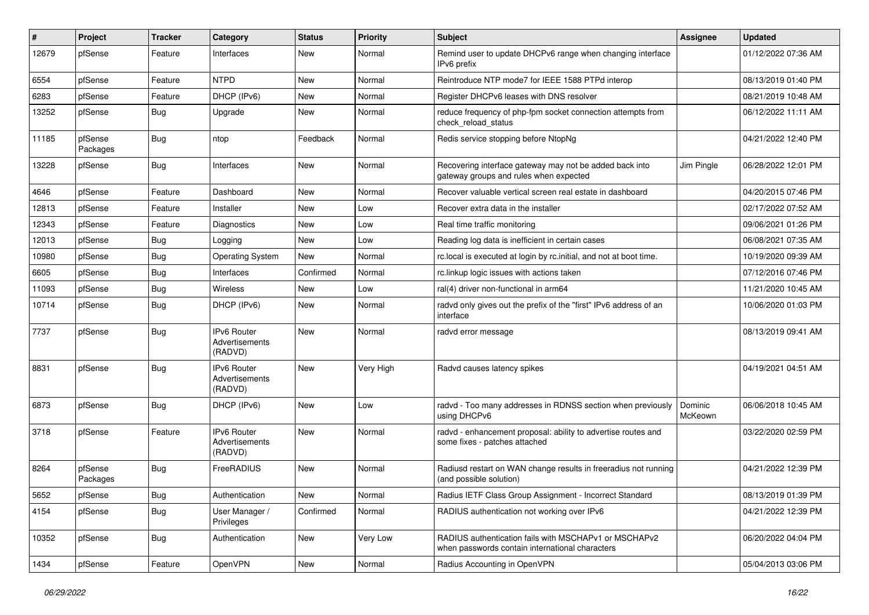| #     | Project             | <b>Tracker</b> | Category                                        | <b>Status</b> | <b>Priority</b> | Subject                                                                                                  | <b>Assignee</b>    | <b>Updated</b>      |
|-------|---------------------|----------------|-------------------------------------------------|---------------|-----------------|----------------------------------------------------------------------------------------------------------|--------------------|---------------------|
| 12679 | pfSense             | Feature        | Interfaces                                      | New           | Normal          | Remind user to update DHCPv6 range when changing interface<br>IPv6 prefix                                |                    | 01/12/2022 07:36 AM |
| 6554  | pfSense             | Feature        | <b>NTPD</b>                                     | New           | Normal          | Reintroduce NTP mode7 for IEEE 1588 PTPd interop                                                         |                    | 08/13/2019 01:40 PM |
| 6283  | pfSense             | Feature        | DHCP (IPv6)                                     | New           | Normal          | Register DHCPv6 leases with DNS resolver                                                                 |                    | 08/21/2019 10:48 AM |
| 13252 | pfSense             | <b>Bug</b>     | Upgrade                                         | <b>New</b>    | Normal          | reduce frequency of php-fpm socket connection attempts from<br>check reload status                       |                    | 06/12/2022 11:11 AM |
| 11185 | pfSense<br>Packages | Bug            | ntop                                            | Feedback      | Normal          | Redis service stopping before NtopNg                                                                     |                    | 04/21/2022 12:40 PM |
| 13228 | pfSense             | <b>Bug</b>     | Interfaces                                      | New           | Normal          | Recovering interface gateway may not be added back into<br>gateway groups and rules when expected        | Jim Pingle         | 06/28/2022 12:01 PM |
| 4646  | pfSense             | Feature        | Dashboard                                       | <b>New</b>    | Normal          | Recover valuable vertical screen real estate in dashboard                                                |                    | 04/20/2015 07:46 PM |
| 12813 | pfSense             | Feature        | Installer                                       | New           | Low             | Recover extra data in the installer                                                                      |                    | 02/17/2022 07:52 AM |
| 12343 | pfSense             | Feature        | Diagnostics                                     | <b>New</b>    | Low             | Real time traffic monitoring                                                                             |                    | 09/06/2021 01:26 PM |
| 12013 | pfSense             | Bug            | Logging                                         | New           | Low             | Reading log data is inefficient in certain cases                                                         |                    | 06/08/2021 07:35 AM |
| 10980 | pfSense             | <b>Bug</b>     | <b>Operating System</b>                         | <b>New</b>    | Normal          | rc.local is executed at login by rc.initial, and not at boot time.                                       |                    | 10/19/2020 09:39 AM |
| 6605  | pfSense             | <b>Bug</b>     | Interfaces                                      | Confirmed     | Normal          | rc.linkup logic issues with actions taken                                                                |                    | 07/12/2016 07:46 PM |
| 11093 | pfSense             | <b>Bug</b>     | Wireless                                        | <b>New</b>    | Low             | ral(4) driver non-functional in arm64                                                                    |                    | 11/21/2020 10:45 AM |
| 10714 | pfSense             | <b>Bug</b>     | DHCP (IPv6)                                     | New           | Normal          | radvd only gives out the prefix of the "first" IPv6 address of an<br>interface                           |                    | 10/06/2020 01:03 PM |
| 7737  | pfSense             | <b>Bug</b>     | IPv6 Router<br>Advertisements<br>(RADVD)        | New           | Normal          | radvd error message                                                                                      |                    | 08/13/2019 09:41 AM |
| 8831  | pfSense             | <b>Bug</b>     | <b>IPv6 Router</b><br>Advertisements<br>(RADVD) | New           | Very High       | Radvd causes latency spikes                                                                              |                    | 04/19/2021 04:51 AM |
| 6873  | pfSense             | Bug            | DHCP (IPv6)                                     | <b>New</b>    | Low             | radvd - Too many addresses in RDNSS section when previously<br>using DHCPv6                              | Dominic<br>McKeown | 06/06/2018 10:45 AM |
| 3718  | pfSense             | Feature        | <b>IPv6 Router</b><br>Advertisements<br>(RADVD) | <b>New</b>    | Normal          | radvd - enhancement proposal: ability to advertise routes and<br>some fixes - patches attached           |                    | 03/22/2020 02:59 PM |
| 8264  | pfSense<br>Packages | <b>Bug</b>     | FreeRADIUS                                      | <b>New</b>    | Normal          | Radiusd restart on WAN change results in freeradius not running<br>(and possible solution)               |                    | 04/21/2022 12:39 PM |
| 5652  | pfSense             | <b>Bug</b>     | Authentication                                  | New           | Normal          | Radius IETF Class Group Assignment - Incorrect Standard                                                  |                    | 08/13/2019 01:39 PM |
| 4154  | pfSense             | Bug            | User Manager /<br>Privileges                    | Confirmed     | Normal          | RADIUS authentication not working over IPv6                                                              |                    | 04/21/2022 12:39 PM |
| 10352 | pfSense             | <b>Bug</b>     | Authentication                                  | New           | Very Low        | RADIUS authentication fails with MSCHAPv1 or MSCHAPv2<br>when passwords contain international characters |                    | 06/20/2022 04:04 PM |
| 1434  | pfSense             | Feature        | OpenVPN                                         | New           | Normal          | Radius Accounting in OpenVPN                                                                             |                    | 05/04/2013 03:06 PM |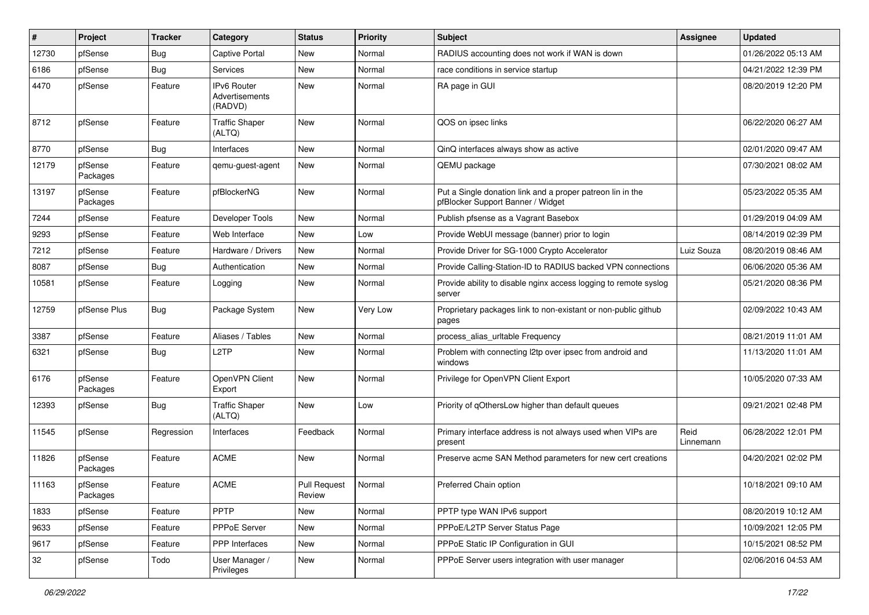| $\vert$ # | Project             | <b>Tracker</b> | Category                                        | <b>Status</b>                 | Priority | <b>Subject</b>                                                                                  | Assignee          | <b>Updated</b>      |
|-----------|---------------------|----------------|-------------------------------------------------|-------------------------------|----------|-------------------------------------------------------------------------------------------------|-------------------|---------------------|
| 12730     | pfSense             | <b>Bug</b>     | Captive Portal                                  | New                           | Normal   | RADIUS accounting does not work if WAN is down                                                  |                   | 01/26/2022 05:13 AM |
| 6186      | pfSense             | Bug            | Services                                        | <b>New</b>                    | Normal   | race conditions in service startup                                                              |                   | 04/21/2022 12:39 PM |
| 4470      | pfSense             | Feature        | <b>IPv6 Router</b><br>Advertisements<br>(RADVD) | New                           | Normal   | RA page in GUI                                                                                  |                   | 08/20/2019 12:20 PM |
| 8712      | pfSense             | Feature        | <b>Traffic Shaper</b><br>(ALTQ)                 | New                           | Normal   | QOS on ipsec links                                                                              |                   | 06/22/2020 06:27 AM |
| 8770      | pfSense             | <b>Bug</b>     | Interfaces                                      | <b>New</b>                    | Normal   | QinQ interfaces always show as active                                                           |                   | 02/01/2020 09:47 AM |
| 12179     | pfSense<br>Packages | Feature        | qemu-guest-agent                                | New                           | Normal   | QEMU package                                                                                    |                   | 07/30/2021 08:02 AM |
| 13197     | pfSense<br>Packages | Feature        | pfBlockerNG                                     | <b>New</b>                    | Normal   | Put a Single donation link and a proper patreon lin in the<br>pfBlocker Support Banner / Widget |                   | 05/23/2022 05:35 AM |
| 7244      | pfSense             | Feature        | Developer Tools                                 | <b>New</b>                    | Normal   | Publish pfsense as a Vagrant Basebox                                                            |                   | 01/29/2019 04:09 AM |
| 9293      | pfSense             | Feature        | Web Interface                                   | <b>New</b>                    | Low      | Provide WebUI message (banner) prior to login                                                   |                   | 08/14/2019 02:39 PM |
| 7212      | pfSense             | Feature        | Hardware / Drivers                              | New                           | Normal   | Provide Driver for SG-1000 Crypto Accelerator                                                   | Luiz Souza        | 08/20/2019 08:46 AM |
| 8087      | pfSense             | <b>Bug</b>     | Authentication                                  | <b>New</b>                    | Normal   | Provide Calling-Station-ID to RADIUS backed VPN connections                                     |                   | 06/06/2020 05:36 AM |
| 10581     | pfSense             | Feature        | Logging                                         | New                           | Normal   | Provide ability to disable nginx access logging to remote syslog<br>server                      |                   | 05/21/2020 08:36 PM |
| 12759     | pfSense Plus        | <b>Bug</b>     | Package System                                  | <b>New</b>                    | Very Low | Proprietary packages link to non-existant or non-public github<br>pages                         |                   | 02/09/2022 10:43 AM |
| 3387      | pfSense             | Feature        | Aliases / Tables                                | <b>New</b>                    | Normal   | process_alias_urltable Frequency                                                                |                   | 08/21/2019 11:01 AM |
| 6321      | pfSense             | Bug            | L <sub>2</sub> TP                               | New                           | Normal   | Problem with connecting l2tp over ipsec from android and<br>windows                             |                   | 11/13/2020 11:01 AM |
| 6176      | pfSense<br>Packages | Feature        | OpenVPN Client<br>Export                        | <b>New</b>                    | Normal   | Privilege for OpenVPN Client Export                                                             |                   | 10/05/2020 07:33 AM |
| 12393     | pfSense             | Bug            | <b>Traffic Shaper</b><br>(ALTQ)                 | New                           | Low      | Priority of qOthersLow higher than default queues                                               |                   | 09/21/2021 02:48 PM |
| 11545     | pfSense             | Regression     | Interfaces                                      | Feedback                      | Normal   | Primary interface address is not always used when VIPs are<br>present                           | Reid<br>Linnemann | 06/28/2022 12:01 PM |
| 11826     | pfSense<br>Packages | Feature        | <b>ACME</b>                                     | <b>New</b>                    | Normal   | Preserve acme SAN Method parameters for new cert creations                                      |                   | 04/20/2021 02:02 PM |
| 11163     | pfSense<br>Packages | Feature        | <b>ACME</b>                                     | <b>Pull Request</b><br>Review | Normal   | Preferred Chain option                                                                          |                   | 10/18/2021 09:10 AM |
| 1833      | pfSense             | Feature        | PPTP                                            | New                           | Normal   | PPTP type WAN IPv6 support                                                                      |                   | 08/20/2019 10:12 AM |
| 9633      | pfSense             | Feature        | PPPoE Server                                    | New                           | Normal   | PPPoE/L2TP Server Status Page                                                                   |                   | 10/09/2021 12:05 PM |
| 9617      | pfSense             | Feature        | PPP Interfaces                                  | New                           | Normal   | PPPoE Static IP Configuration in GUI                                                            |                   | 10/15/2021 08:52 PM |
| 32        | pfSense             | Todo           | User Manager /<br>Privileges                    | New                           | Normal   | PPPoE Server users integration with user manager                                                |                   | 02/06/2016 04:53 AM |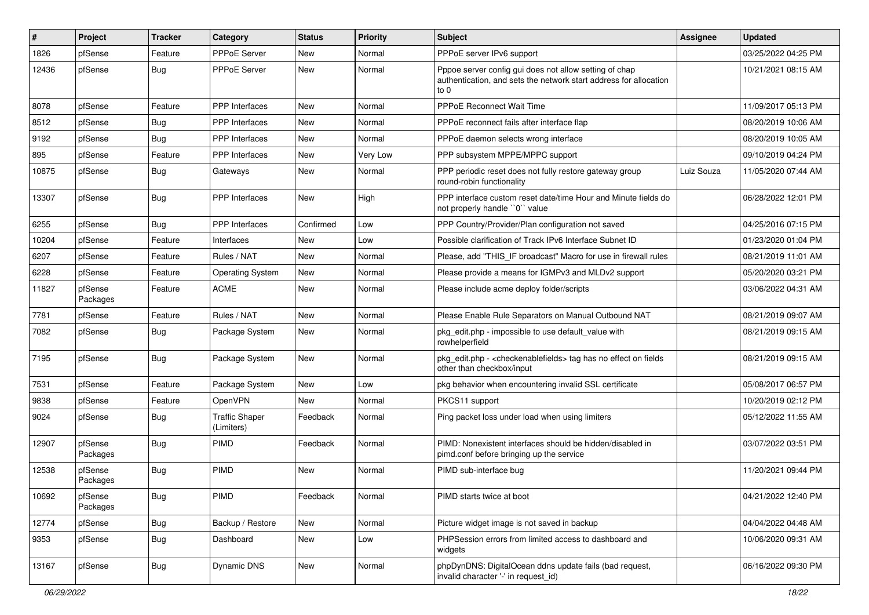| $\sharp$ | Project             | <b>Tracker</b> | Category                            | <b>Status</b> | Priority | <b>Subject</b>                                                                                                                      | <b>Assignee</b> | <b>Updated</b>      |
|----------|---------------------|----------------|-------------------------------------|---------------|----------|-------------------------------------------------------------------------------------------------------------------------------------|-----------------|---------------------|
| 1826     | pfSense             | Feature        | <b>PPPoE Server</b>                 | New           | Normal   | PPPoE server IPv6 support                                                                                                           |                 | 03/25/2022 04:25 PM |
| 12436    | pfSense             | Bug            | <b>PPPoE Server</b>                 | <b>New</b>    | Normal   | Pppoe server config gui does not allow setting of chap<br>authentication, and sets the network start address for allocation<br>to 0 |                 | 10/21/2021 08:15 AM |
| 8078     | pfSense             | Feature        | <b>PPP</b> Interfaces               | <b>New</b>    | Normal   | <b>PPPoE Reconnect Wait Time</b>                                                                                                    |                 | 11/09/2017 05:13 PM |
| 8512     | pfSense             | <b>Bug</b>     | PPP Interfaces                      | New           | Normal   | PPPoE reconnect fails after interface flap                                                                                          |                 | 08/20/2019 10:06 AM |
| 9192     | pfSense             | Bug            | PPP Interfaces                      | New           | Normal   | PPPoE daemon selects wrong interface                                                                                                |                 | 08/20/2019 10:05 AM |
| 895      | pfSense             | Feature        | PPP Interfaces                      | <b>New</b>    | Very Low | PPP subsystem MPPE/MPPC support                                                                                                     |                 | 09/10/2019 04:24 PM |
| 10875    | pfSense             | <b>Bug</b>     | Gateways                            | New           | Normal   | PPP periodic reset does not fully restore gateway group<br>round-robin functionality                                                | Luiz Souza      | 11/05/2020 07:44 AM |
| 13307    | pfSense             | Bug            | PPP Interfaces                      | <b>New</b>    | High     | PPP interface custom reset date/time Hour and Minute fields do<br>not properly handle "0" value                                     |                 | 06/28/2022 12:01 PM |
| 6255     | pfSense             | Bug            | <b>PPP</b> Interfaces               | Confirmed     | Low      | PPP Country/Provider/Plan configuration not saved                                                                                   |                 | 04/25/2016 07:15 PM |
| 10204    | pfSense             | Feature        | Interfaces                          | New           | Low      | Possible clarification of Track IPv6 Interface Subnet ID                                                                            |                 | 01/23/2020 01:04 PM |
| 6207     | pfSense             | Feature        | Rules / NAT                         | New           | Normal   | Please, add "THIS IF broadcast" Macro for use in firewall rules                                                                     |                 | 08/21/2019 11:01 AM |
| 6228     | pfSense             | Feature        | <b>Operating System</b>             | <b>New</b>    | Normal   | Please provide a means for IGMPv3 and MLDv2 support                                                                                 |                 | 05/20/2020 03:21 PM |
| 11827    | pfSense<br>Packages | Feature        | <b>ACME</b>                         | New           | Normal   | Please include acme deploy folder/scripts                                                                                           |                 | 03/06/2022 04:31 AM |
| 7781     | pfSense             | Feature        | Rules / NAT                         | <b>New</b>    | Normal   | Please Enable Rule Separators on Manual Outbound NAT                                                                                |                 | 08/21/2019 09:07 AM |
| 7082     | pfSense             | Bug            | Package System                      | New           | Normal   | pkg edit.php - impossible to use default value with<br>rowhelperfield                                                               |                 | 08/21/2019 09:15 AM |
| 7195     | pfSense             | Bug            | Package System                      | <b>New</b>    | Normal   | pkg_edit.php - < checkenablefields > tag has no effect on fields<br>other than checkbox/input                                       |                 | 08/21/2019 09:15 AM |
| 7531     | pfSense             | Feature        | Package System                      | New           | Low      | pkg behavior when encountering invalid SSL certificate                                                                              |                 | 05/08/2017 06:57 PM |
| 9838     | pfSense             | Feature        | <b>OpenVPN</b>                      | New           | Normal   | PKCS11 support                                                                                                                      |                 | 10/20/2019 02:12 PM |
| 9024     | pfSense             | <b>Bug</b>     | <b>Traffic Shaper</b><br>(Limiters) | Feedback      | Normal   | Ping packet loss under load when using limiters                                                                                     |                 | 05/12/2022 11:55 AM |
| 12907    | pfSense<br>Packages | Bug            | <b>PIMD</b>                         | Feedback      | Normal   | PIMD: Nonexistent interfaces should be hidden/disabled in<br>pimd.conf before bringing up the service                               |                 | 03/07/2022 03:51 PM |
| 12538    | pfSense<br>Packages | Bug            | PIMD                                | New           | Normal   | PIMD sub-interface bug                                                                                                              |                 | 11/20/2021 09:44 PM |
| 10692    | pfSense<br>Packages | <b>Bug</b>     | PIMD                                | Feedback      | Normal   | PIMD starts twice at boot                                                                                                           |                 | 04/21/2022 12:40 PM |
| 12774    | pfSense             | Bug            | Backup / Restore                    | New           | Normal   | Picture widget image is not saved in backup                                                                                         |                 | 04/04/2022 04:48 AM |
| 9353     | pfSense             | <b>Bug</b>     | Dashboard                           | New           | Low      | PHPSession errors from limited access to dashboard and<br>widgets                                                                   |                 | 10/06/2020 09:31 AM |
| 13167    | pfSense             | <b>Bug</b>     | Dynamic DNS                         | New           | Normal   | phpDynDNS: DigitalOcean ddns update fails (bad request,<br>invalid character '-' in request_id)                                     |                 | 06/16/2022 09:30 PM |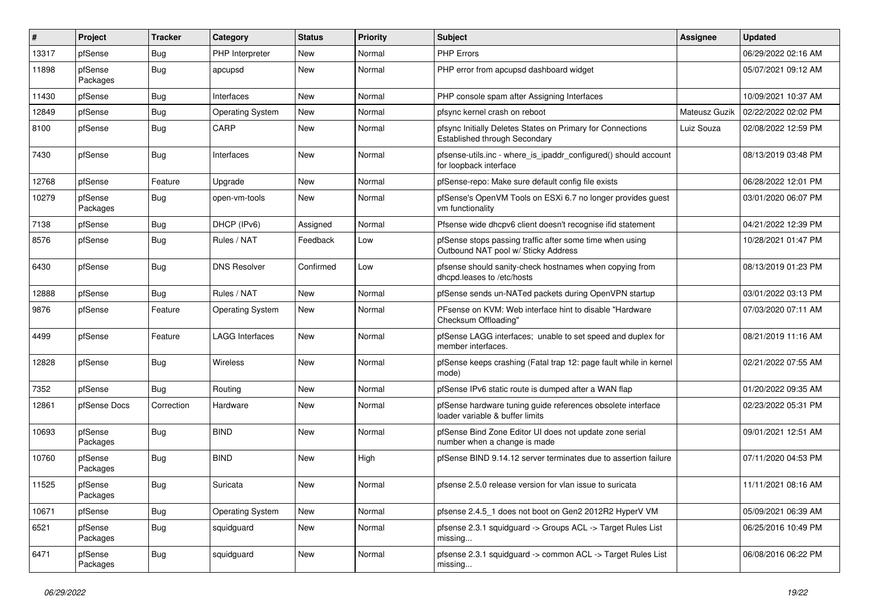| #     | Project             | Tracker    | Category                | <b>Status</b> | <b>Priority</b> | Subject                                                                                         | Assignee      | <b>Updated</b>      |
|-------|---------------------|------------|-------------------------|---------------|-----------------|-------------------------------------------------------------------------------------------------|---------------|---------------------|
| 13317 | pfSense             | <b>Bug</b> | PHP Interpreter         | New           | Normal          | <b>PHP Errors</b>                                                                               |               | 06/29/2022 02:16 AM |
| 11898 | pfSense<br>Packages | Bug        | apcupsd                 | New           | Normal          | PHP error from apcupsd dashboard widget                                                         |               | 05/07/2021 09:12 AM |
| 11430 | pfSense             | <b>Bug</b> | Interfaces              | New           | Normal          | PHP console spam after Assigning Interfaces                                                     |               | 10/09/2021 10:37 AM |
| 12849 | pfSense             | <b>Bug</b> | <b>Operating System</b> | <b>New</b>    | Normal          | pfsync kernel crash on reboot                                                                   | Mateusz Guzik | 02/22/2022 02:02 PM |
| 8100  | pfSense             | <b>Bug</b> | CARP                    | New           | Normal          | pfsync Initially Deletes States on Primary for Connections<br>Established through Secondary     | Luiz Souza    | 02/08/2022 12:59 PM |
| 7430  | pfSense             | <b>Bug</b> | Interfaces              | New           | Normal          | pfsense-utils.inc - where is ipaddr configured() should account<br>for loopback interface       |               | 08/13/2019 03:48 PM |
| 12768 | pfSense             | Feature    | Upgrade                 | <b>New</b>    | Normal          | pfSense-repo: Make sure default config file exists                                              |               | 06/28/2022 12:01 PM |
| 10279 | pfSense<br>Packages | <b>Bug</b> | open-vm-tools           | New           | Normal          | pfSense's OpenVM Tools on ESXi 6.7 no longer provides guest<br>vm functionality                 |               | 03/01/2020 06:07 PM |
| 7138  | pfSense             | <b>Bug</b> | DHCP (IPv6)             | Assigned      | Normal          | Pfsense wide dhcpv6 client doesn't recognise ifid statement                                     |               | 04/21/2022 12:39 PM |
| 8576  | pfSense             | <b>Bug</b> | Rules / NAT             | Feedback      | Low             | pfSense stops passing traffic after some time when using<br>Outbound NAT pool w/ Sticky Address |               | 10/28/2021 01:47 PM |
| 6430  | pfSense             | Bug        | <b>DNS Resolver</b>     | Confirmed     | Low             | pfsense should sanity-check hostnames when copying from<br>dhcpd.leases to /etc/hosts           |               | 08/13/2019 01:23 PM |
| 12888 | pfSense             | <b>Bug</b> | Rules / NAT             | <b>New</b>    | Normal          | pfSense sends un-NATed packets during OpenVPN startup                                           |               | 03/01/2022 03:13 PM |
| 9876  | pfSense             | Feature    | <b>Operating System</b> | New           | Normal          | PFsense on KVM: Web interface hint to disable "Hardware"<br>Checksum Offloading"                |               | 07/03/2020 07:11 AM |
| 4499  | pfSense             | Feature    | <b>LAGG Interfaces</b>  | New           | Normal          | pfSense LAGG interfaces; unable to set speed and duplex for<br>member interfaces.               |               | 08/21/2019 11:16 AM |
| 12828 | pfSense             | <b>Bug</b> | Wireless                | New           | Normal          | pfSense keeps crashing (Fatal trap 12: page fault while in kernel<br>mode)                      |               | 02/21/2022 07:55 AM |
| 7352  | pfSense             | Bug        | Routing                 | New           | Normal          | pfSense IPv6 static route is dumped after a WAN flap                                            |               | 01/20/2022 09:35 AM |
| 12861 | pfSense Docs        | Correction | Hardware                | New           | Normal          | pfSense hardware tuning guide references obsolete interface<br>loader variable & buffer limits  |               | 02/23/2022 05:31 PM |
| 10693 | pfSense<br>Packages | <b>Bug</b> | <b>BIND</b>             | New           | Normal          | pfSense Bind Zone Editor UI does not update zone serial<br>number when a change is made         |               | 09/01/2021 12:51 AM |
| 10760 | pfSense<br>Packages | <b>Bug</b> | <b>BIND</b>             | New           | High            | pfSense BIND 9.14.12 server terminates due to assertion failure                                 |               | 07/11/2020 04:53 PM |
| 11525 | pfSense<br>Packages | <b>Bug</b> | Suricata                | New           | Normal          | pfsense 2.5.0 release version for vlan issue to suricata                                        |               | 11/11/2021 08:16 AM |
| 10671 | pfSense             | <b>Bug</b> | Operating System        | New           | Normal          | pfsense 2.4.5 1 does not boot on Gen2 2012R2 HyperV VM                                          |               | 05/09/2021 06:39 AM |
| 6521  | pfSense<br>Packages | Bug        | squidguard              | New           | Normal          | pfsense 2.3.1 squidguard -> Groups ACL -> Target Rules List<br>missing                          |               | 06/25/2016 10:49 PM |
| 6471  | pfSense<br>Packages | Bug        | squidguard              | New           | Normal          | pfsense 2.3.1 squidguard -> common ACL -> Target Rules List<br>missing                          |               | 06/08/2016 06:22 PM |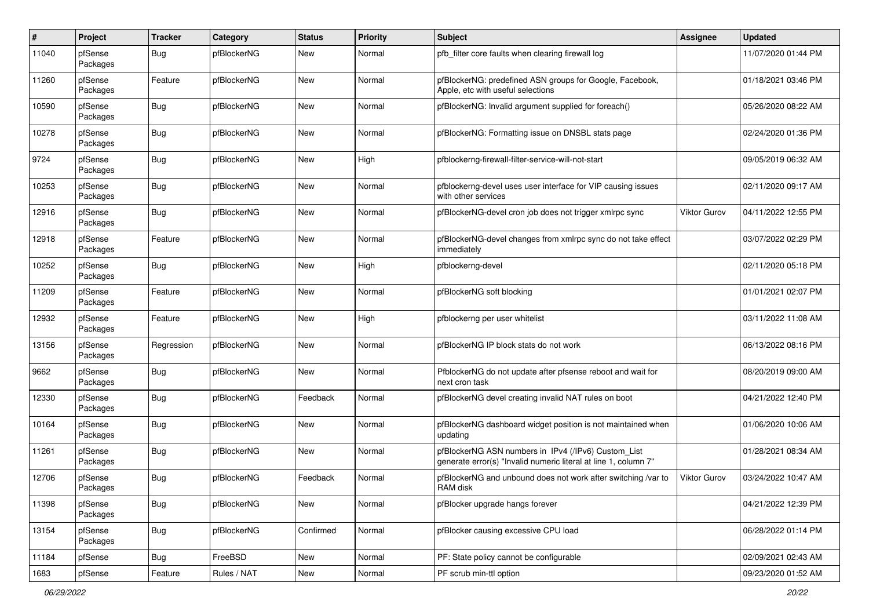| $\#$  | Project             | <b>Tracker</b> | Category    | <b>Status</b> | <b>Priority</b> | Subject                                                                                                                | <b>Assignee</b> | <b>Updated</b>      |
|-------|---------------------|----------------|-------------|---------------|-----------------|------------------------------------------------------------------------------------------------------------------------|-----------------|---------------------|
| 11040 | pfSense<br>Packages | Bug            | pfBlockerNG | New           | Normal          | pfb_filter core faults when clearing firewall log                                                                      |                 | 11/07/2020 01:44 PM |
| 11260 | pfSense<br>Packages | Feature        | pfBlockerNG | <b>New</b>    | Normal          | pfBlockerNG: predefined ASN groups for Google, Facebook,<br>Apple, etc with useful selections                          |                 | 01/18/2021 03:46 PM |
| 10590 | pfSense<br>Packages | Bug            | pfBlockerNG | New           | Normal          | pfBlockerNG: Invalid argument supplied for foreach()                                                                   |                 | 05/26/2020 08:22 AM |
| 10278 | pfSense<br>Packages | <b>Bug</b>     | pfBlockerNG | New           | Normal          | pfBlockerNG: Formatting issue on DNSBL stats page                                                                      |                 | 02/24/2020 01:36 PM |
| 9724  | pfSense<br>Packages | Bug            | pfBlockerNG | New           | High            | pfblockerng-firewall-filter-service-will-not-start                                                                     |                 | 09/05/2019 06:32 AM |
| 10253 | pfSense<br>Packages | Bug            | pfBlockerNG | New           | Normal          | pfblockerng-devel uses user interface for VIP causing issues<br>with other services                                    |                 | 02/11/2020 09:17 AM |
| 12916 | pfSense<br>Packages | <b>Bug</b>     | pfBlockerNG | New           | Normal          | pfBlockerNG-devel cron job does not trigger xmlrpc sync                                                                | Viktor Gurov    | 04/11/2022 12:55 PM |
| 12918 | pfSense<br>Packages | Feature        | pfBlockerNG | New           | Normal          | pfBlockerNG-devel changes from xmlrpc sync do not take effect<br>immediately                                           |                 | 03/07/2022 02:29 PM |
| 10252 | pfSense<br>Packages | Bug            | pfBlockerNG | New           | High            | pfblockerng-devel                                                                                                      |                 | 02/11/2020 05:18 PM |
| 11209 | pfSense<br>Packages | Feature        | pfBlockerNG | New           | Normal          | pfBlockerNG soft blocking                                                                                              |                 | 01/01/2021 02:07 PM |
| 12932 | pfSense<br>Packages | Feature        | pfBlockerNG | New           | High            | pfblockerng per user whitelist                                                                                         |                 | 03/11/2022 11:08 AM |
| 13156 | pfSense<br>Packages | Regression     | pfBlockerNG | New           | Normal          | pfBlockerNG IP block stats do not work                                                                                 |                 | 06/13/2022 08:16 PM |
| 9662  | pfSense<br>Packages | Bug            | pfBlockerNG | New           | Normal          | PfblockerNG do not update after pfsense reboot and wait for<br>next cron task                                          |                 | 08/20/2019 09:00 AM |
| 12330 | pfSense<br>Packages | <b>Bug</b>     | pfBlockerNG | Feedback      | Normal          | pfBlockerNG devel creating invalid NAT rules on boot                                                                   |                 | 04/21/2022 12:40 PM |
| 10164 | pfSense<br>Packages | <b>Bug</b>     | pfBlockerNG | New           | Normal          | pfBlockerNG dashboard widget position is not maintained when<br>updating                                               |                 | 01/06/2020 10:06 AM |
| 11261 | pfSense<br>Packages | Bug            | pfBlockerNG | New           | Normal          | pfBlockerNG ASN numbers in IPv4 (/IPv6) Custom_List<br>generate error(s) "Invalid numeric literal at line 1, column 7" |                 | 01/28/2021 08:34 AM |
| 12706 | pfSense<br>Packages | <b>Bug</b>     | pfBlockerNG | Feedback      | Normal          | pfBlockerNG and unbound does not work after switching /var to<br>RAM disk                                              | Viktor Gurov    | 03/24/2022 10:47 AM |
| 11398 | pfSense<br>Packages | <b>Bug</b>     | pfBlockerNG | New           | Normal          | pfBlocker upgrade hangs forever                                                                                        |                 | 04/21/2022 12:39 PM |
| 13154 | pfSense<br>Packages | <b>Bug</b>     | pfBlockerNG | Confirmed     | Normal          | pfBlocker causing excessive CPU load                                                                                   |                 | 06/28/2022 01:14 PM |
| 11184 | pfSense             | Bug            | FreeBSD     | New           | Normal          | PF: State policy cannot be configurable                                                                                |                 | 02/09/2021 02:43 AM |
| 1683  | pfSense             | Feature        | Rules / NAT | New           | Normal          | PF scrub min-ttl option                                                                                                |                 | 09/23/2020 01:52 AM |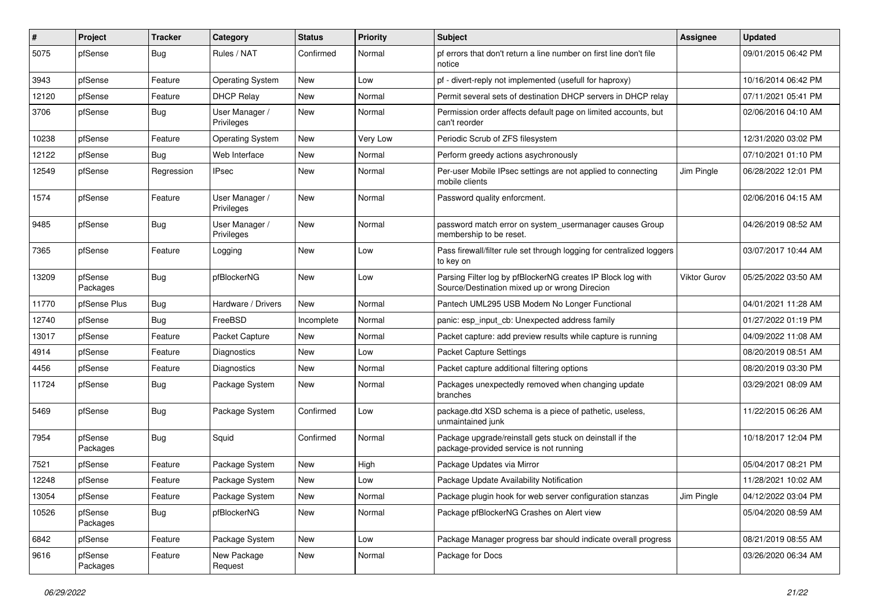| #     | Project             | Tracker    | Category                     | <b>Status</b> | <b>Priority</b> | <b>Subject</b>                                                                                               | <b>Assignee</b>     | <b>Updated</b>      |
|-------|---------------------|------------|------------------------------|---------------|-----------------|--------------------------------------------------------------------------------------------------------------|---------------------|---------------------|
| 5075  | pfSense             | <b>Bug</b> | Rules / NAT                  | Confirmed     | Normal          | pf errors that don't return a line number on first line don't file<br>notice                                 |                     | 09/01/2015 06:42 PM |
| 3943  | pfSense             | Feature    | <b>Operating System</b>      | New           | Low             | pf - divert-reply not implemented (usefull for haproxy)                                                      |                     | 10/16/2014 06:42 PM |
| 12120 | pfSense             | Feature    | <b>DHCP Relay</b>            | New           | Normal          | Permit several sets of destination DHCP servers in DHCP relay                                                |                     | 07/11/2021 05:41 PM |
| 3706  | pfSense             | <b>Bug</b> | User Manager /<br>Privileges | <b>New</b>    | Normal          | Permission order affects default page on limited accounts, but<br>can't reorder                              |                     | 02/06/2016 04:10 AM |
| 10238 | pfSense             | Feature    | Operating System             | New           | Very Low        | Periodic Scrub of ZFS filesystem                                                                             |                     | 12/31/2020 03:02 PM |
| 12122 | pfSense             | <b>Bug</b> | Web Interface                | New           | Normal          | Perform greedy actions asychronously                                                                         |                     | 07/10/2021 01:10 PM |
| 12549 | pfSense             | Regression | <b>IPsec</b>                 | New           | Normal          | Per-user Mobile IPsec settings are not applied to connecting<br>mobile clients                               | Jim Pingle          | 06/28/2022 12:01 PM |
| 1574  | pfSense             | Feature    | User Manager /<br>Privileges | New           | Normal          | Password quality enforcment.                                                                                 |                     | 02/06/2016 04:15 AM |
| 9485  | pfSense             | <b>Bug</b> | User Manager /<br>Privileges | <b>New</b>    | Normal          | password match error on system usermanager causes Group<br>membership to be reset.                           |                     | 04/26/2019 08:52 AM |
| 7365  | pfSense             | Feature    | Logging                      | New           | Low             | Pass firewall/filter rule set through logging for centralized loggers<br>to key on                           |                     | 03/07/2017 10:44 AM |
| 13209 | pfSense<br>Packages | <b>Bug</b> | pfBlockerNG                  | New           | Low             | Parsing Filter log by pfBlockerNG creates IP Block log with<br>Source/Destination mixed up or wrong Direcion | <b>Viktor Gurov</b> | 05/25/2022 03:50 AM |
| 11770 | pfSense Plus        | <b>Bug</b> | Hardware / Drivers           | <b>New</b>    | Normal          | Pantech UML295 USB Modem No Longer Functional                                                                |                     | 04/01/2021 11:28 AM |
| 12740 | pfSense             | <b>Bug</b> | FreeBSD                      | Incomplete    | Normal          | panic: esp input cb: Unexpected address family                                                               |                     | 01/27/2022 01:19 PM |
| 13017 | pfSense             | Feature    | Packet Capture               | New           | Normal          | Packet capture: add preview results while capture is running                                                 |                     | 04/09/2022 11:08 AM |
| 4914  | pfSense             | Feature    | Diagnostics                  | New           | Low             | <b>Packet Capture Settings</b>                                                                               |                     | 08/20/2019 08:51 AM |
| 4456  | pfSense             | Feature    | Diagnostics                  | New           | Normal          | Packet capture additional filtering options                                                                  |                     | 08/20/2019 03:30 PM |
| 11724 | pfSense             | <b>Bug</b> | Package System               | New           | Normal          | Packages unexpectedly removed when changing update<br>branches                                               |                     | 03/29/2021 08:09 AM |
| 5469  | pfSense             | <b>Bug</b> | Package System               | Confirmed     | Low             | package.dtd XSD schema is a piece of pathetic, useless,<br>unmaintained junk                                 |                     | 11/22/2015 06:26 AM |
| 7954  | pfSense<br>Packages | <b>Bug</b> | Squid                        | Confirmed     | Normal          | Package upgrade/reinstall gets stuck on deinstall if the<br>package-provided service is not running          |                     | 10/18/2017 12:04 PM |
| 7521  | pfSense             | Feature    | Package System               | New           | High            | Package Updates via Mirror                                                                                   |                     | 05/04/2017 08:21 PM |
| 12248 | pfSense             | Feature    | Package System               | New           | Low             | Package Update Availability Notification                                                                     |                     | 11/28/2021 10:02 AM |
| 13054 | pfSense             | Feature    | Package System               | New           | Normal          | Package plugin hook for web server configuration stanzas                                                     | Jim Pingle          | 04/12/2022 03:04 PM |
| 10526 | pfSense<br>Packages | <b>Bug</b> | pfBlockerNG                  | New           | Normal          | Package pfBlockerNG Crashes on Alert view                                                                    |                     | 05/04/2020 08:59 AM |
| 6842  | pfSense             | Feature    | Package System               | New           | Low             | Package Manager progress bar should indicate overall progress                                                |                     | 08/21/2019 08:55 AM |
| 9616  | pfSense<br>Packages | Feature    | New Package<br>Request       | New           | Normal          | Package for Docs                                                                                             |                     | 03/26/2020 06:34 AM |